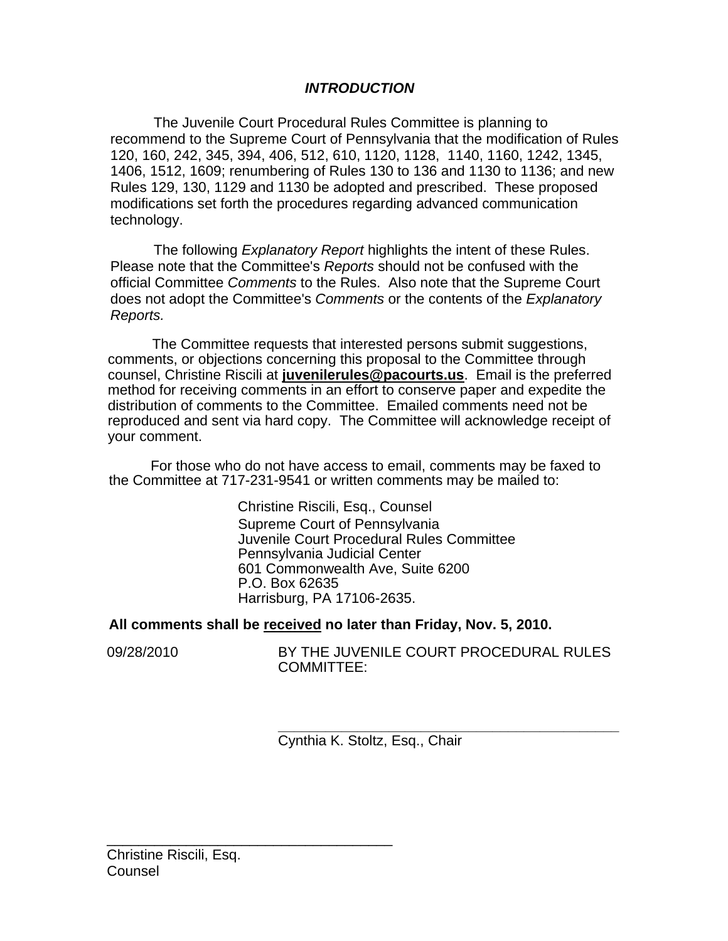# *INTRODUCTION*

The Juvenile Court Procedural Rules Committee is planning to recommend to the Supreme Court of Pennsylvania that the modification of Rules 120, 160, 242, 345, 394, 406, 512, 610, 1120, 1128, 1140, 1160, 1242, 1345, 1406, 1512, 1609; renumbering of Rules 130 to 136 and 1130 to 1136; and new Rules 129, 130, 1129 and 1130 be adopted and prescribed. These proposed modifications set forth the procedures regarding advanced communication technology.

The following *Explanatory Report* highlights the intent of these Rules. Please note that the Committee's *Reports* should not be confused with the official Committee *Comments* to the Rules. Also note that the Supreme Court does not adopt the Committee's *Comments* or the contents of the *Explanatory Reports.* 

The Committee requests that interested persons submit suggestions, comments, or objections concerning this proposal to the Committee through counsel, Christine Riscili at **juvenilerules@pacourts.us**. Email is the preferred method for receiving comments in an effort to conserve paper and expedite the distribution of comments to the Committee. Emailed comments need not be reproduced and sent via hard copy. The Committee will acknowledge receipt of your comment.

 For those who do not have access to email, comments may be faxed to the Committee at 717-231-9541 or written comments may be mailed to:

> Christine Riscili, Esq., Counsel Supreme Court of Pennsylvania Juvenile Court Procedural Rules Committee Pennsylvania Judicial Center 601 Commonwealth Ave, Suite 6200 P.O. Box 62635 Harrisburg, PA 17106-2635.

# **All comments shall be received no later than Friday, Nov. 5, 2010.**

09/28/2010 BY THE JUVENILE COURT PROCEDURAL RULES COMMITTEE:

> **\_\_\_\_\_\_\_\_\_\_\_\_\_\_\_\_\_\_\_\_\_\_\_\_\_\_\_\_\_\_\_\_\_\_\_\_\_\_\_\_\_\_\_**  Cynthia K. Stoltz, Esq., Chair

\_\_\_\_\_\_\_\_\_\_\_\_\_\_\_\_\_\_\_\_\_\_\_\_\_\_\_\_\_\_\_\_\_\_\_\_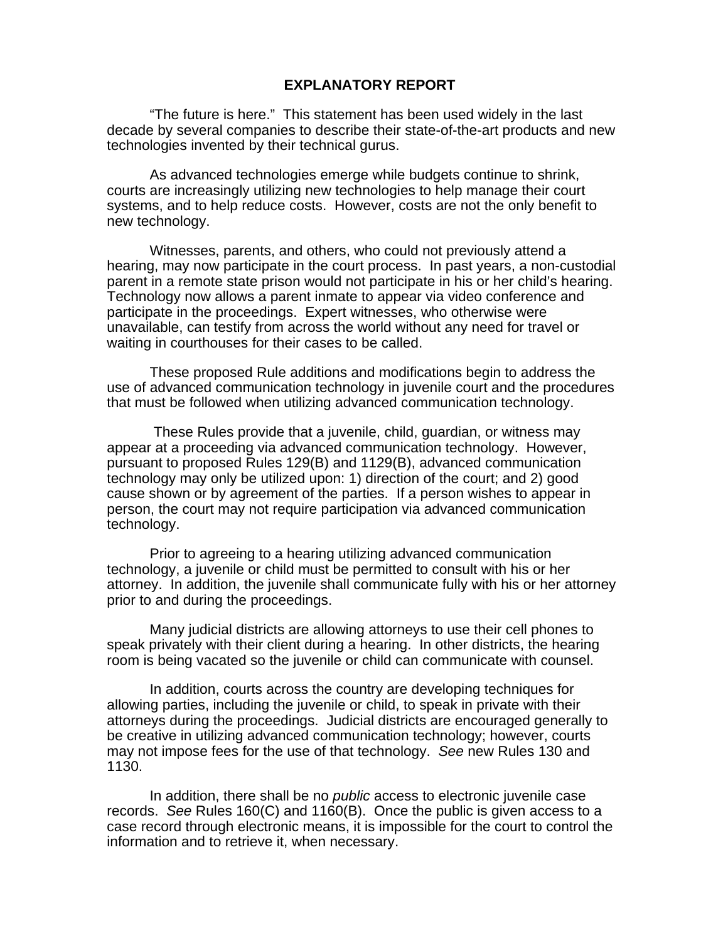#### **EXPLANATORY REPORT**

"The future is here." This statement has been used widely in the last decade by several companies to describe their state-of-the-art products and new technologies invented by their technical gurus.

As advanced technologies emerge while budgets continue to shrink, courts are increasingly utilizing new technologies to help manage their court systems, and to help reduce costs. However, costs are not the only benefit to new technology.

Witnesses, parents, and others, who could not previously attend a hearing, may now participate in the court process. In past years, a non-custodial parent in a remote state prison would not participate in his or her child's hearing. Technology now allows a parent inmate to appear via video conference and participate in the proceedings. Expert witnesses, who otherwise were unavailable, can testify from across the world without any need for travel or waiting in courthouses for their cases to be called.

These proposed Rule additions and modifications begin to address the use of advanced communication technology in juvenile court and the procedures that must be followed when utilizing advanced communication technology.

 These Rules provide that a juvenile, child, guardian, or witness may appear at a proceeding via advanced communication technology. However, pursuant to proposed Rules 129(B) and 1129(B), advanced communication technology may only be utilized upon: 1) direction of the court; and 2) good cause shown or by agreement of the parties. If a person wishes to appear in person, the court may not require participation via advanced communication technology.

 Prior to agreeing to a hearing utilizing advanced communication technology, a juvenile or child must be permitted to consult with his or her attorney. In addition, the juvenile shall communicate fully with his or her attorney prior to and during the proceedings.

 Many judicial districts are allowing attorneys to use their cell phones to speak privately with their client during a hearing. In other districts, the hearing room is being vacated so the juvenile or child can communicate with counsel.

In addition, courts across the country are developing techniques for allowing parties, including the juvenile or child, to speak in private with their attorneys during the proceedings. Judicial districts are encouraged generally to be creative in utilizing advanced communication technology; however, courts may not impose fees for the use of that technology. *See* new Rules 130 and 1130.

 In addition, there shall be no *public* access to electronic juvenile case records. *See* Rules 160(C) and 1160(B). Once the public is given access to a case record through electronic means, it is impossible for the court to control the information and to retrieve it, when necessary.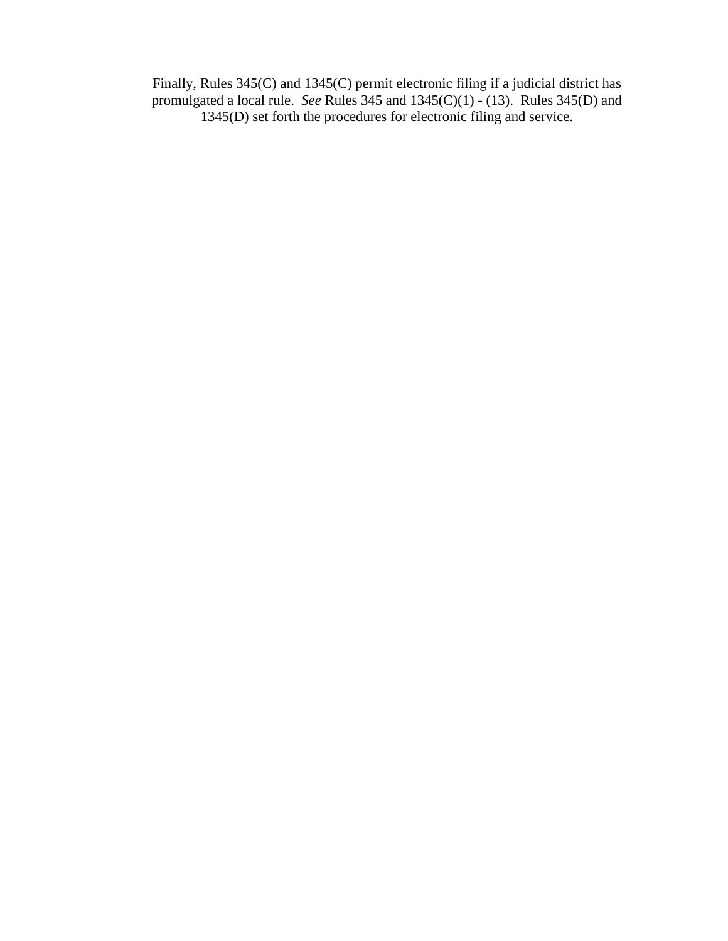Finally, Rules 345(C) and 1345(C) permit electronic filing if a judicial district has promulgated a local rule. *See* Rules 345 and 1345(C)(1) - (13). Rules 345(D) and 1345(D) set forth the procedures for electronic filing and service.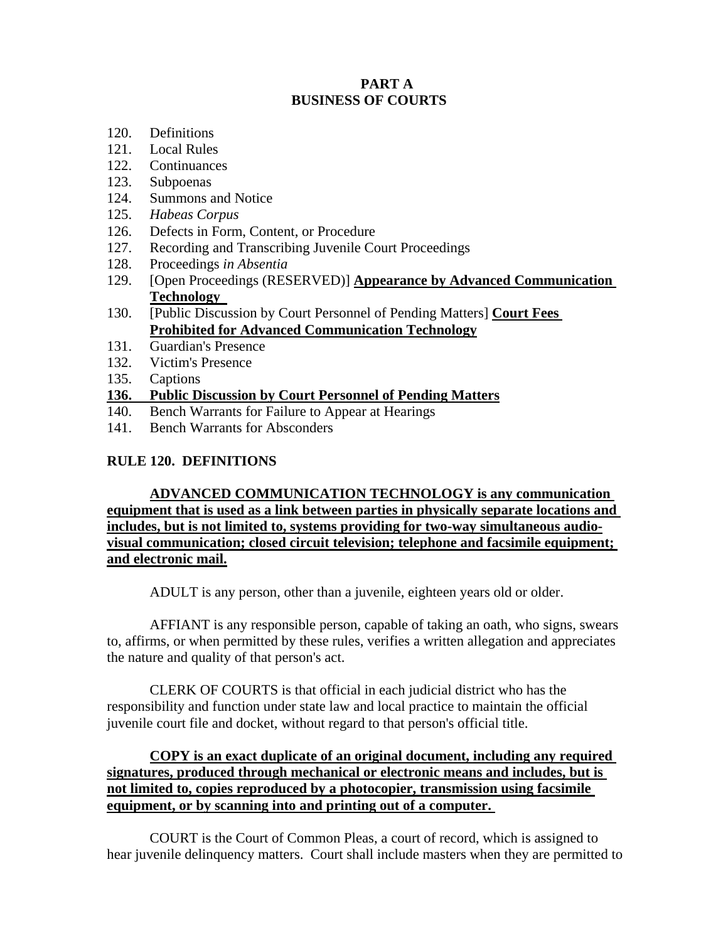#### **PART A BUSINESS OF COURTS**

- 120. Definitions
- 121. Local Rules
- 122. Continuances
- 123. Subpoenas
- 124. Summons and Notice
- 125. *Habeas Corpus*
- 126. Defects in Form, Content, or Procedure
- 127. Recording and Transcribing Juvenile Court Proceedings
- 128. Proceedings *in Absentia*
- 129. [Open Proceedings (RESERVED)] **Appearance by Advanced Communication Technology**
- 130. [Public Discussion by Court Personnel of Pending Matters] **Court Fees Prohibited for Advanced Communication Technology**
- 131. Guardian's Presence
- 132. Victim's Presence
- 135. Captions

### **136. Public Discussion by Court Personnel of Pending Matters**

- 140. Bench Warrants for Failure to Appear at Hearings
- 141. Bench Warrants for Absconders

### **RULE 120. DEFINITIONS**

**ADVANCED COMMUNICATION TECHNOLOGY is any communication equipment that is used as a link between parties in physically separate locations and includes, but is not limited to, systems providing for two-way simultaneous audiovisual communication; closed circuit television; telephone and facsimile equipment; and electronic mail.**

ADULT is any person, other than a juvenile, eighteen years old or older.

AFFIANT is any responsible person, capable of taking an oath, who signs, swears to, affirms, or when permitted by these rules, verifies a written allegation and appreciates the nature and quality of that person's act.

CLERK OF COURTS is that official in each judicial district who has the responsibility and function under state law and local practice to maintain the official juvenile court file and docket, without regard to that person's official title.

**COPY is an exact duplicate of an original document, including any required signatures, produced through mechanical or electronic means and includes, but is not limited to, copies reproduced by a photocopier, transmission using facsimile equipment, or by scanning into and printing out of a computer.** 

COURT is the Court of Common Pleas, a court of record, which is assigned to hear juvenile delinquency matters. Court shall include masters when they are permitted to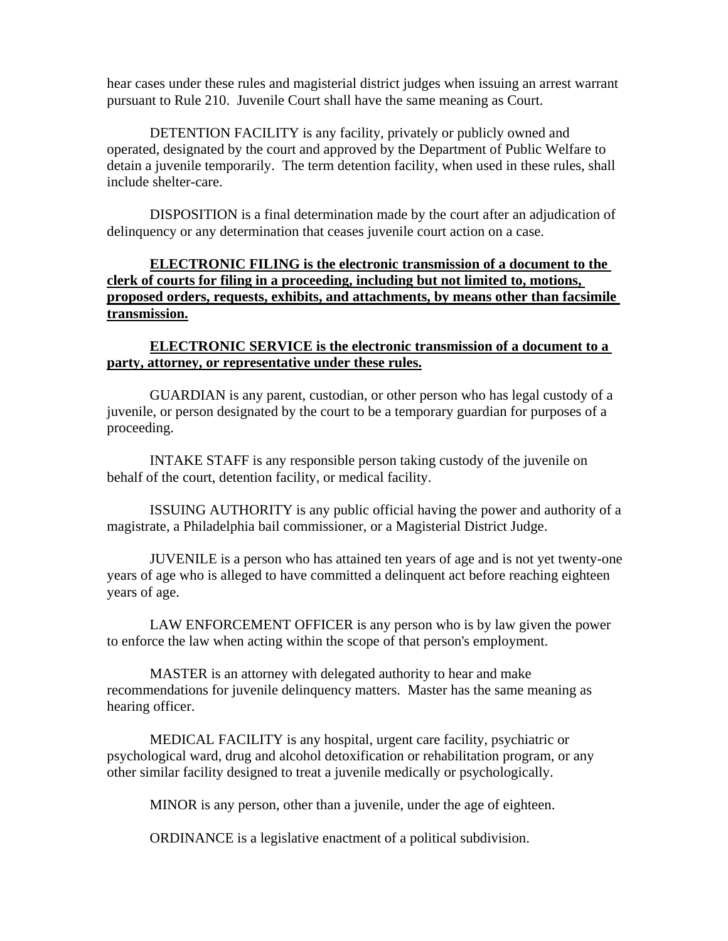hear cases under these rules and magisterial district judges when issuing an arrest warrant pursuant to Rule 210. Juvenile Court shall have the same meaning as Court.

DETENTION FACILITY is any facility, privately or publicly owned and operated, designated by the court and approved by the Department of Public Welfare to detain a juvenile temporarily. The term detention facility, when used in these rules, shall include shelter-care.

DISPOSITION is a final determination made by the court after an adjudication of delinquency or any determination that ceases juvenile court action on a case.

# **ELECTRONIC FILING is the electronic transmission of a document to the clerk of courts for filing in a proceeding, including but not limited to, motions, proposed orders, requests, exhibits, and attachments, by means other than facsimile transmission.**

#### **ELECTRONIC SERVICE is the electronic transmission of a document to a party, attorney, or representative under these rules.**

GUARDIAN is any parent, custodian, or other person who has legal custody of a juvenile, or person designated by the court to be a temporary guardian for purposes of a proceeding.

INTAKE STAFF is any responsible person taking custody of the juvenile on behalf of the court, detention facility, or medical facility.

ISSUING AUTHORITY is any public official having the power and authority of a magistrate, a Philadelphia bail commissioner, or a Magisterial District Judge.

JUVENILE is a person who has attained ten years of age and is not yet twenty-one years of age who is alleged to have committed a delinquent act before reaching eighteen years of age.

LAW ENFORCEMENT OFFICER is any person who is by law given the power to enforce the law when acting within the scope of that person's employment.

MASTER is an attorney with delegated authority to hear and make recommendations for juvenile delinquency matters. Master has the same meaning as hearing officer.

MEDICAL FACILITY is any hospital, urgent care facility, psychiatric or psychological ward, drug and alcohol detoxification or rehabilitation program, or any other similar facility designed to treat a juvenile medically or psychologically.

MINOR is any person, other than a juvenile, under the age of eighteen.

ORDINANCE is a legislative enactment of a political subdivision.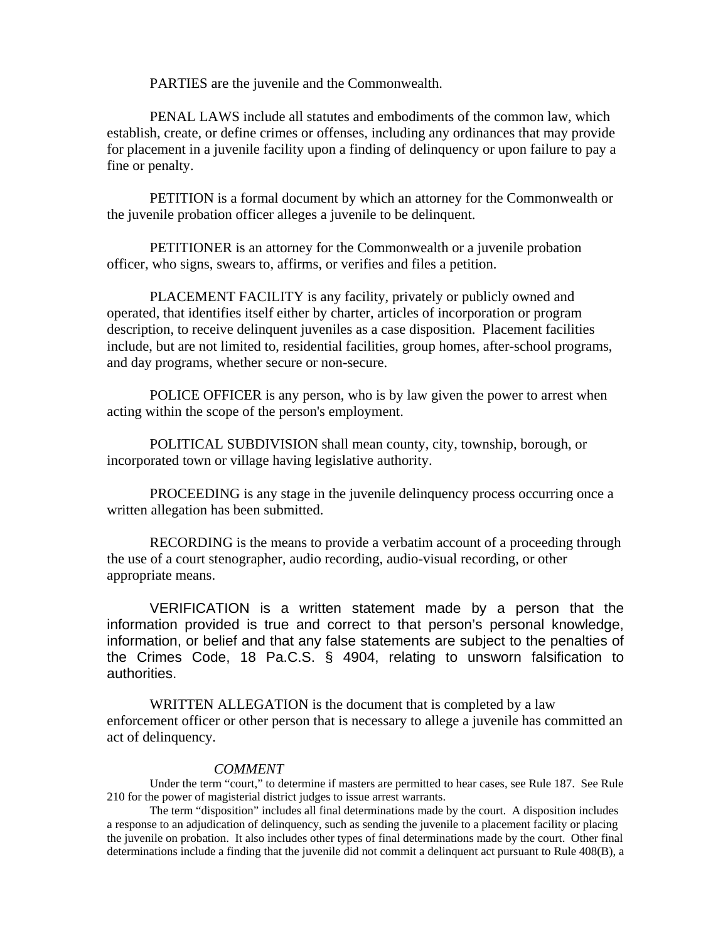PARTIES are the juvenile and the Commonwealth.

PENAL LAWS include all statutes and embodiments of the common law, which establish, create, or define crimes or offenses, including any ordinances that may provide for placement in a juvenile facility upon a finding of delinquency or upon failure to pay a fine or penalty.

PETITION is a formal document by which an attorney for the Commonwealth or the juvenile probation officer alleges a juvenile to be delinquent.

PETITIONER is an attorney for the Commonwealth or a juvenile probation officer, who signs, swears to, affirms, or verifies and files a petition.

PLACEMENT FACILITY is any facility, privately or publicly owned and operated, that identifies itself either by charter, articles of incorporation or program description, to receive delinquent juveniles as a case disposition. Placement facilities include, but are not limited to, residential facilities, group homes, after-school programs, and day programs, whether secure or non-secure.

POLICE OFFICER is any person, who is by law given the power to arrest when acting within the scope of the person's employment.

POLITICAL SUBDIVISION shall mean county, city, township, borough, or incorporated town or village having legislative authority.

PROCEEDING is any stage in the juvenile delinquency process occurring once a written allegation has been submitted.

RECORDING is the means to provide a verbatim account of a proceeding through the use of a court stenographer, audio recording, audio-visual recording, or other appropriate means.

 VERIFICATION is a written statement made by a person that the information provided is true and correct to that person's personal knowledge, information, or belief and that any false statements are subject to the penalties of the Crimes Code, 18 Pa.C.S. § 4904, relating to unsworn falsification to authorities.

WRITTEN ALLEGATION is the document that is completed by a law enforcement officer or other person that is necessary to allege a juvenile has committed an act of delinquency.

#### *COMMENT*

Under the term "court," to determine if masters are permitted to hear cases, see Rule 187. See Rule 210 for the power of magisterial district judges to issue arrest warrants.

The term "disposition" includes all final determinations made by the court. A disposition includes a response to an adjudication of delinquency, such as sending the juvenile to a placement facility or placing the juvenile on probation. It also includes other types of final determinations made by the court. Other final determinations include a finding that the juvenile did not commit a delinquent act pursuant to Rule 408(B), a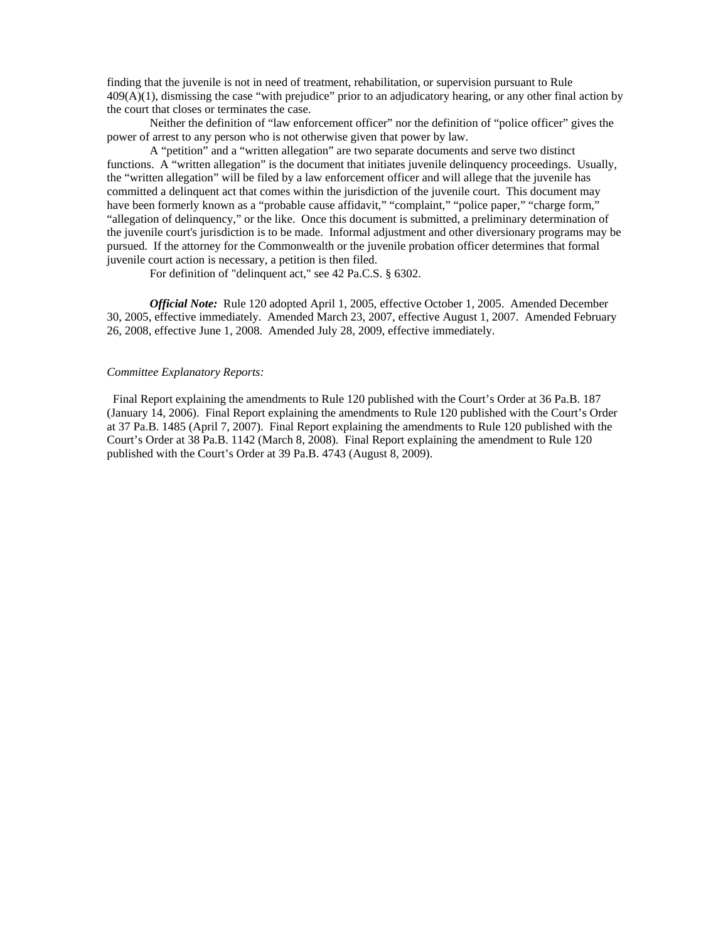finding that the juvenile is not in need of treatment, rehabilitation, or supervision pursuant to Rule 409(A)(1), dismissing the case "with prejudice" prior to an adjudicatory hearing, or any other final action by the court that closes or terminates the case.

Neither the definition of "law enforcement officer" nor the definition of "police officer" gives the power of arrest to any person who is not otherwise given that power by law.

A "petition" and a "written allegation" are two separate documents and serve two distinct functions. A "written allegation" is the document that initiates juvenile delinquency proceedings. Usually, the "written allegation" will be filed by a law enforcement officer and will allege that the juvenile has committed a delinquent act that comes within the jurisdiction of the juvenile court. This document may have been formerly known as a "probable cause affidavit," "complaint," "police paper," "charge form," "allegation of delinquency," or the like. Once this document is submitted, a preliminary determination of the juvenile court's jurisdiction is to be made. Informal adjustment and other diversionary programs may be pursued. If the attorney for the Commonwealth or the juvenile probation officer determines that formal juvenile court action is necessary, a petition is then filed.

For definition of "delinquent act," see 42 Pa.C.S. § 6302.

*Official Note:* Rule 120 adopted April 1, 2005, effective October 1, 2005. Amended December 30, 2005, effective immediately. Amended March 23, 2007, effective August 1, 2007. Amended February 26, 2008, effective June 1, 2008. Amended July 28, 2009, effective immediately.

#### *Committee Explanatory Reports:*

Final Report explaining the amendments to Rule 120 published with the Court's Order at 36 Pa.B. 187 (January 14, 2006). Final Report explaining the amendments to Rule 120 published with the Court's Order at 37 Pa.B. 1485 (April 7, 2007). Final Report explaining the amendments to Rule 120 published with the Court's Order at 38 Pa.B. 1142 (March 8, 2008). Final Report explaining the amendment to Rule 120 published with the Court's Order at 39 Pa.B. 4743 (August 8, 2009).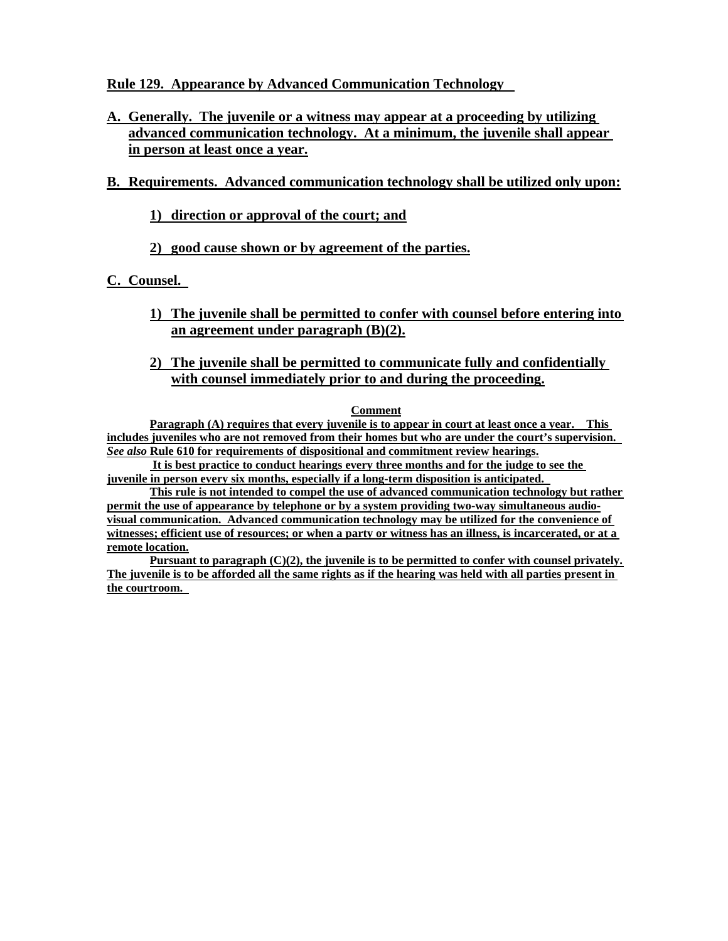### **Rule 129. Appearance by Advanced Communication Technology**

**A. Generally. The juvenile or a witness may appear at a proceeding by utilizing advanced communication technology. At a minimum, the juvenile shall appear in person at least once a year.**

# **B. Requirements. Advanced communication technology shall be utilized only upon:**

# **1) direction or approval of the court; and**

# **2) good cause shown or by agreement of the parties.**

### **C. Counsel.**

**1) The juvenile shall be permitted to confer with counsel before entering into an agreement under paragraph (B)(2).**

#### **2) The juvenile shall be permitted to communicate fully and confidentially with counsel immediately prior to and during the proceeding.**

#### **Comment**

**Paragraph (A) requires that every juvenile is to appear in court at least once a year. This includes juveniles who are not removed from their homes but who are under the court's supervision.**  *See also* **Rule 610 for requirements of dispositional and commitment review hearings.**

 **It is best practice to conduct hearings every three months and for the judge to see the juvenile in person every six months, especially if a long-term disposition is anticipated.** 

**This rule is not intended to compel the use of advanced communication technology but rather permit the use of appearance by telephone or by a system providing two-way simultaneous audiovisual communication. Advanced communication technology may be utilized for the convenience of witnesses; efficient use of resources; or when a party or witness has an illness, is incarcerated, or at a remote location.**

**Pursuant to paragraph (C)(2), the juvenile is to be permitted to confer with counsel privately. The juvenile is to be afforded all the same rights as if the hearing was held with all parties present in the courtroom.**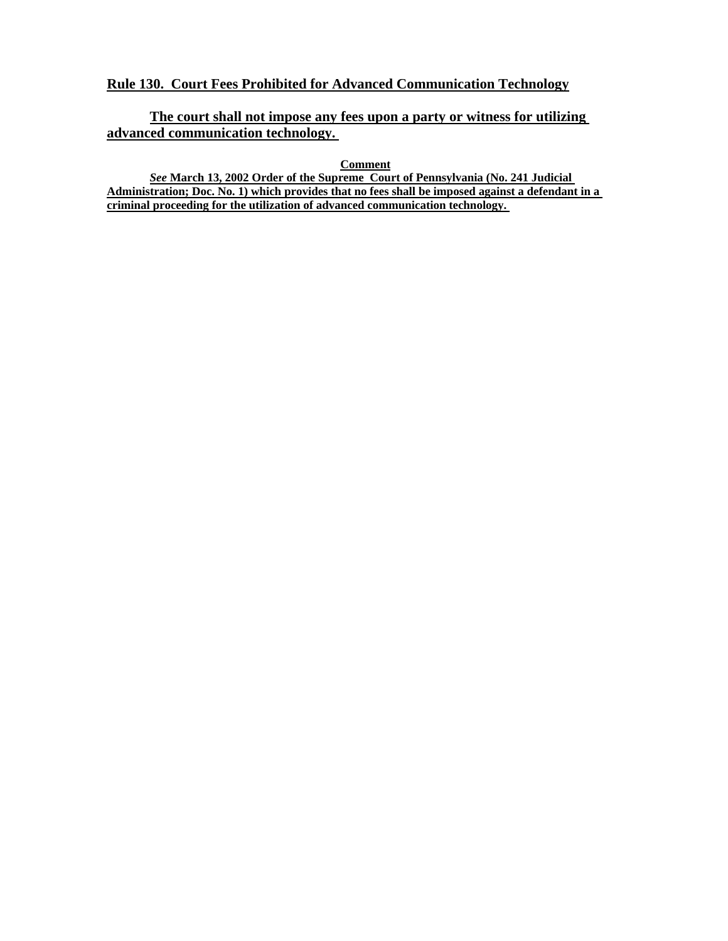### **Rule 130. Court Fees Prohibited for Advanced Communication Technology**

# **The court shall not impose any fees upon a party or witness for utilizing advanced communication technology.**

**Comment**

*See* **March 13, 2002 Order of the Supreme Court of Pennsylvania (No. 241 Judicial Administration; Doc. No. 1) which provides that no fees shall be imposed against a defendant in a criminal proceeding for the utilization of advanced communication technology.**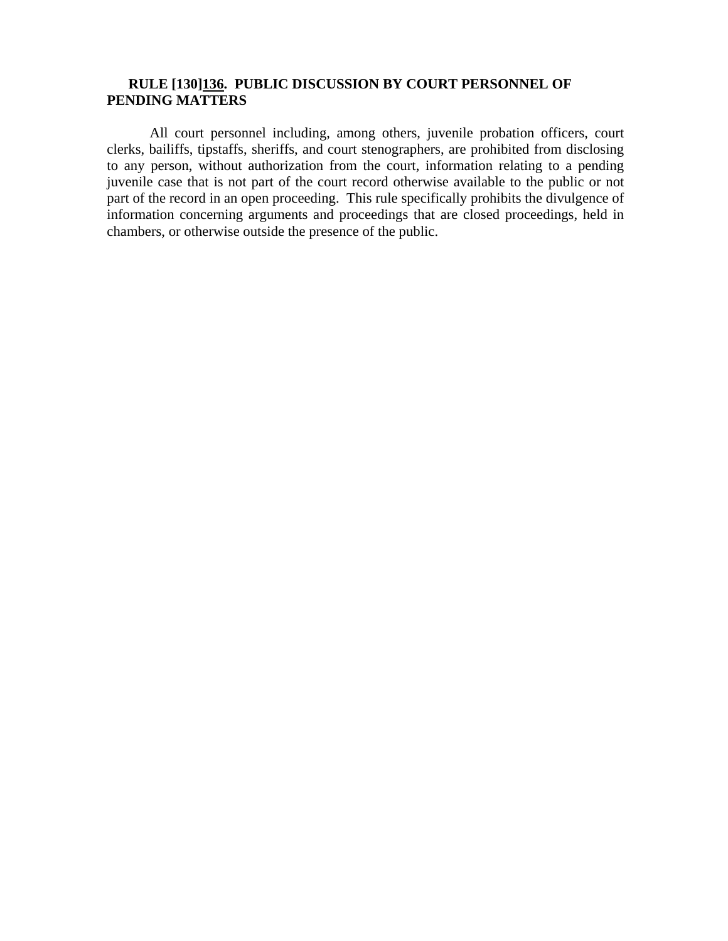# **RULE [130]136. PUBLIC DISCUSSION BY COURT PERSONNEL OF PENDING MATTERS**

All court personnel including, among others, juvenile probation officers, court clerks, bailiffs, tipstaffs, sheriffs, and court stenographers, are prohibited from disclosing to any person, without authorization from the court, information relating to a pending juvenile case that is not part of the court record otherwise available to the public or not part of the record in an open proceeding. This rule specifically prohibits the divulgence of information concerning arguments and proceedings that are closed proceedings, held in chambers, or otherwise outside the presence of the public.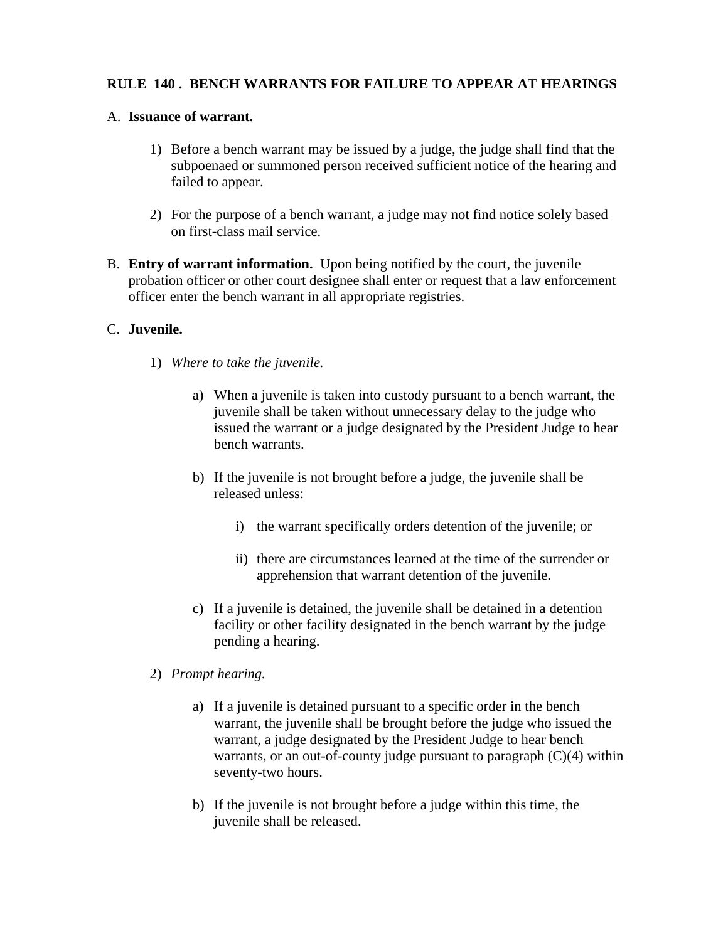# **RULE 140 . BENCH WARRANTS FOR FAILURE TO APPEAR AT HEARINGS**

#### A. **Issuance of warrant.**

- 1) Before a bench warrant may be issued by a judge, the judge shall find that the subpoenaed or summoned person received sufficient notice of the hearing and failed to appear.
- 2) For the purpose of a bench warrant, a judge may not find notice solely based on first-class mail service.
- B. **Entry of warrant information.** Upon being notified by the court, the juvenile probation officer or other court designee shall enter or request that a law enforcement officer enter the bench warrant in all appropriate registries.

#### C. **Juvenile.**

- 1) *Where to take the juvenile.* 
	- a) When a juvenile is taken into custody pursuant to a bench warrant, the juvenile shall be taken without unnecessary delay to the judge who issued the warrant or a judge designated by the President Judge to hear bench warrants.
	- b) If the juvenile is not brought before a judge, the juvenile shall be released unless:
		- i) the warrant specifically orders detention of the juvenile; or
		- ii) there are circumstances learned at the time of the surrender or apprehension that warrant detention of the juvenile.
	- c) If a juvenile is detained, the juvenile shall be detained in a detention facility or other facility designated in the bench warrant by the judge pending a hearing.
- 2) *Prompt hearing.* 
	- a) If a juvenile is detained pursuant to a specific order in the bench warrant, the juvenile shall be brought before the judge who issued the warrant, a judge designated by the President Judge to hear bench warrants, or an out-of-county judge pursuant to paragraph  $(C)(4)$  within seventy-two hours.
	- b) If the juvenile is not brought before a judge within this time, the juvenile shall be released.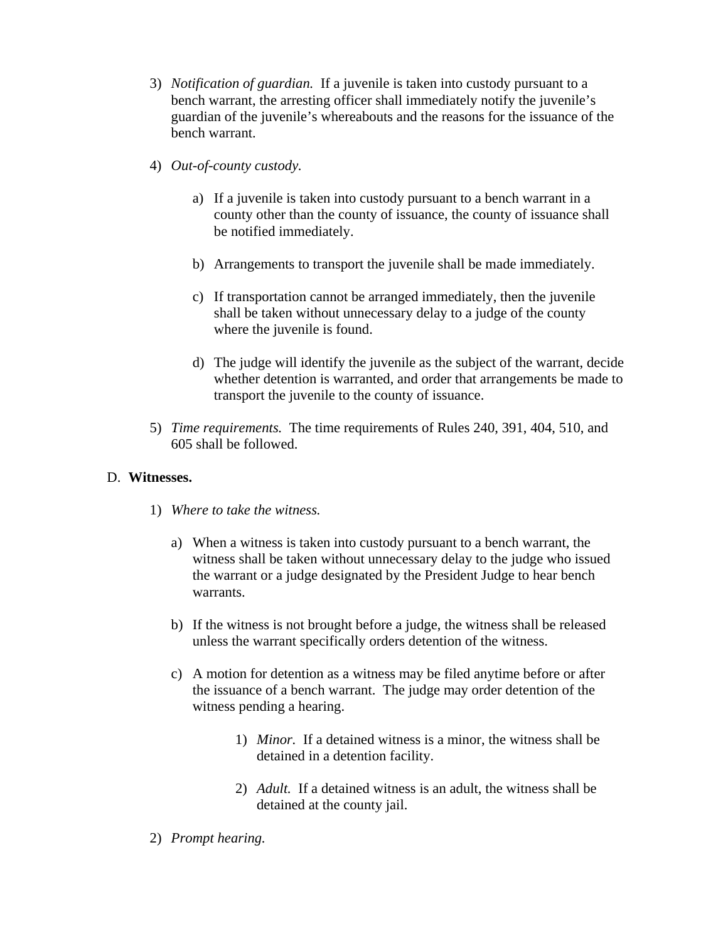- 3) *Notification of guardian.* If a juvenile is taken into custody pursuant to a bench warrant, the arresting officer shall immediately notify the juvenile's guardian of the juvenile's whereabouts and the reasons for the issuance of the bench warrant.
- 4) *Out-of-county custody.* 
	- a) If a juvenile is taken into custody pursuant to a bench warrant in a county other than the county of issuance, the county of issuance shall be notified immediately.
	- b) Arrangements to transport the juvenile shall be made immediately.
	- c) If transportation cannot be arranged immediately, then the juvenile shall be taken without unnecessary delay to a judge of the county where the juvenile is found.
	- d) The judge will identify the juvenile as the subject of the warrant, decide whether detention is warranted, and order that arrangements be made to transport the juvenile to the county of issuance.
- 5) *Time requirements.* The time requirements of Rules 240, 391, 404, 510, and 605 shall be followed.

#### D. **Witnesses.**

- 1) *Where to take the witness.* 
	- a) When a witness is taken into custody pursuant to a bench warrant, the witness shall be taken without unnecessary delay to the judge who issued the warrant or a judge designated by the President Judge to hear bench warrants.
	- b) If the witness is not brought before a judge, the witness shall be released unless the warrant specifically orders detention of the witness.
	- c) A motion for detention as a witness may be filed anytime before or after the issuance of a bench warrant. The judge may order detention of the witness pending a hearing.
		- 1) *Minor.* If a detained witness is a minor, the witness shall be detained in a detention facility.
		- 2) *Adult.* If a detained witness is an adult, the witness shall be detained at the county jail.

#### 2) *Prompt hearing.*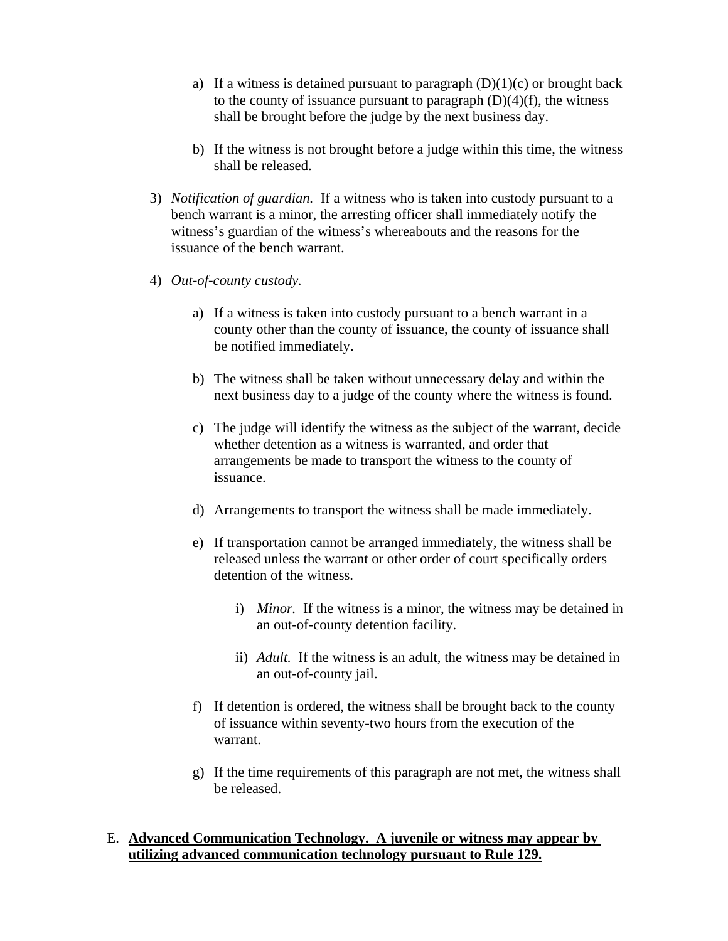- a) If a witness is detained pursuant to paragraph  $(D)(1)(c)$  or brought back to the county of issuance pursuant to paragraph  $(D)(4)(f)$ , the witness shall be brought before the judge by the next business day.
- b) If the witness is not brought before a judge within this time, the witness shall be released.
- 3) *Notification of guardian.* If a witness who is taken into custody pursuant to a bench warrant is a minor, the arresting officer shall immediately notify the witness's guardian of the witness's whereabouts and the reasons for the issuance of the bench warrant.
- 4) *Out-of-county custody.* 
	- a) If a witness is taken into custody pursuant to a bench warrant in a county other than the county of issuance, the county of issuance shall be notified immediately.
	- b) The witness shall be taken without unnecessary delay and within the next business day to a judge of the county where the witness is found.
	- c) The judge will identify the witness as the subject of the warrant, decide whether detention as a witness is warranted, and order that arrangements be made to transport the witness to the county of issuance.
	- d) Arrangements to transport the witness shall be made immediately.
	- e) If transportation cannot be arranged immediately, the witness shall be released unless the warrant or other order of court specifically orders detention of the witness.
		- i) *Minor.* If the witness is a minor, the witness may be detained in an out-of-county detention facility.
		- ii) *Adult.* If the witness is an adult, the witness may be detained in an out-of-county jail.
	- f) If detention is ordered, the witness shall be brought back to the county of issuance within seventy-two hours from the execution of the warrant.
	- g) If the time requirements of this paragraph are not met, the witness shall be released.

#### E. **Advanced Communication Technology. A juvenile or witness may appear by utilizing advanced communication technology pursuant to Rule 129.**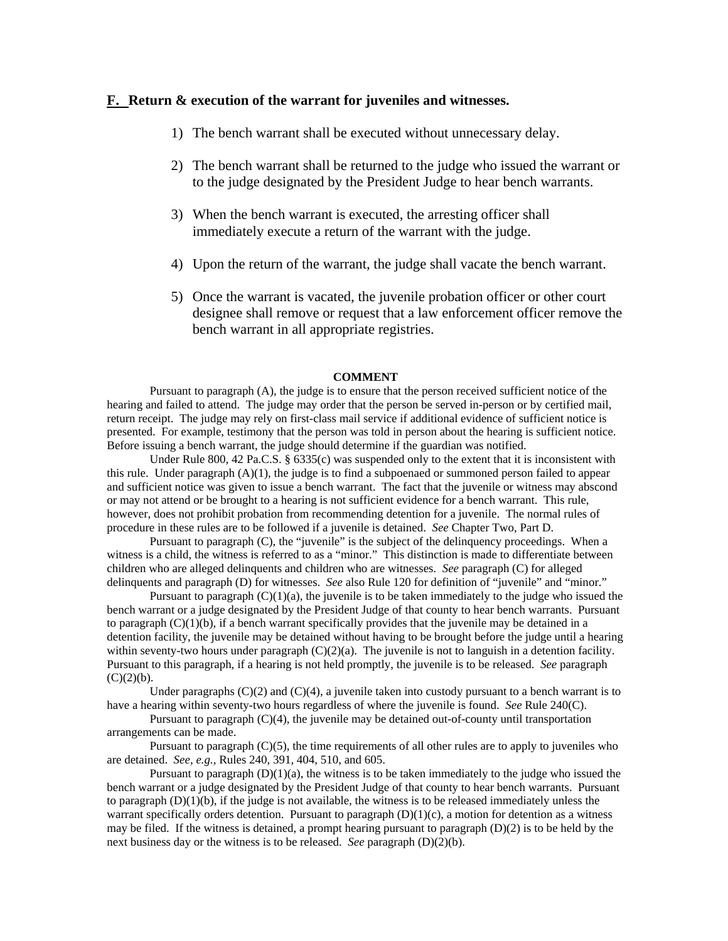#### **F. Return & execution of the warrant for juveniles and witnesses.**

- 1) The bench warrant shall be executed without unnecessary delay.
- 2) The bench warrant shall be returned to the judge who issued the warrant or to the judge designated by the President Judge to hear bench warrants.
- 3) When the bench warrant is executed, the arresting officer shall immediately execute a return of the warrant with the judge.
- 4) Upon the return of the warrant, the judge shall vacate the bench warrant.
- 5) Once the warrant is vacated, the juvenile probation officer or other court designee shall remove or request that a law enforcement officer remove the bench warrant in all appropriate registries.

#### **COMMENT**

Pursuant to paragraph (A), the judge is to ensure that the person received sufficient notice of the hearing and failed to attend. The judge may order that the person be served in-person or by certified mail, return receipt. The judge may rely on first-class mail service if additional evidence of sufficient notice is presented. For example, testimony that the person was told in person about the hearing is sufficient notice. Before issuing a bench warrant, the judge should determine if the guardian was notified.

Under Rule 800, 42 Pa.C.S. § 6335(c) was suspended only to the extent that it is inconsistent with this rule. Under paragraph  $(A)(1)$ , the judge is to find a subpoenaed or summoned person failed to appear and sufficient notice was given to issue a bench warrant. The fact that the juvenile or witness may abscond or may not attend or be brought to a hearing is not sufficient evidence for a bench warrant. This rule, however, does not prohibit probation from recommending detention for a juvenile. The normal rules of procedure in these rules are to be followed if a juvenile is detained. *See* Chapter Two, Part D.

Pursuant to paragraph (C), the "juvenile" is the subject of the delinquency proceedings. When a witness is a child, the witness is referred to as a "minor." This distinction is made to differentiate between children who are alleged delinquents and children who are witnesses. *See* paragraph (C) for alleged delinquents and paragraph (D) for witnesses. *See* also Rule 120 for definition of "juvenile" and "minor."

Pursuant to paragraph  $(C)(1)(a)$ , the juvenile is to be taken immediately to the judge who issued the bench warrant or a judge designated by the President Judge of that county to hear bench warrants. Pursuant to paragraph  $(C)(1)(b)$ , if a bench warrant specifically provides that the juvenile may be detained in a detention facility, the juvenile may be detained without having to be brought before the judge until a hearing within seventy-two hours under paragraph  $(C)(2)(a)$ . The juvenile is not to languish in a detention facility. Pursuant to this paragraph, if a hearing is not held promptly, the juvenile is to be released. *See* paragraph  $(C)(2)(b)$ .

Under paragraphs  $(C)(2)$  and  $(C)(4)$ , a juvenile taken into custody pursuant to a bench warrant is to have a hearing within seventy-two hours regardless of where the juvenile is found. *See* Rule 240(C).

Pursuant to paragraph (C)(4), the juvenile may be detained out-of-county until transportation arrangements can be made.

Pursuant to paragraph  $(C)(5)$ , the time requirements of all other rules are to apply to juveniles who are detained. *See, e.g.,* Rules 240, 391, 404, 510, and 605.

Pursuant to paragraph  $(D)(1)(a)$ , the witness is to be taken immediately to the judge who issued the bench warrant or a judge designated by the President Judge of that county to hear bench warrants. Pursuant to paragraph  $(D)(1)(b)$ , if the judge is not available, the witness is to be released immediately unless the warrant specifically orders detention. Pursuant to paragraph (D)(1)(c), a motion for detention as a witness may be filed. If the witness is detained, a prompt hearing pursuant to paragraph  $(D)(2)$  is to be held by the next business day or the witness is to be released. *See* paragraph (D)(2)(b).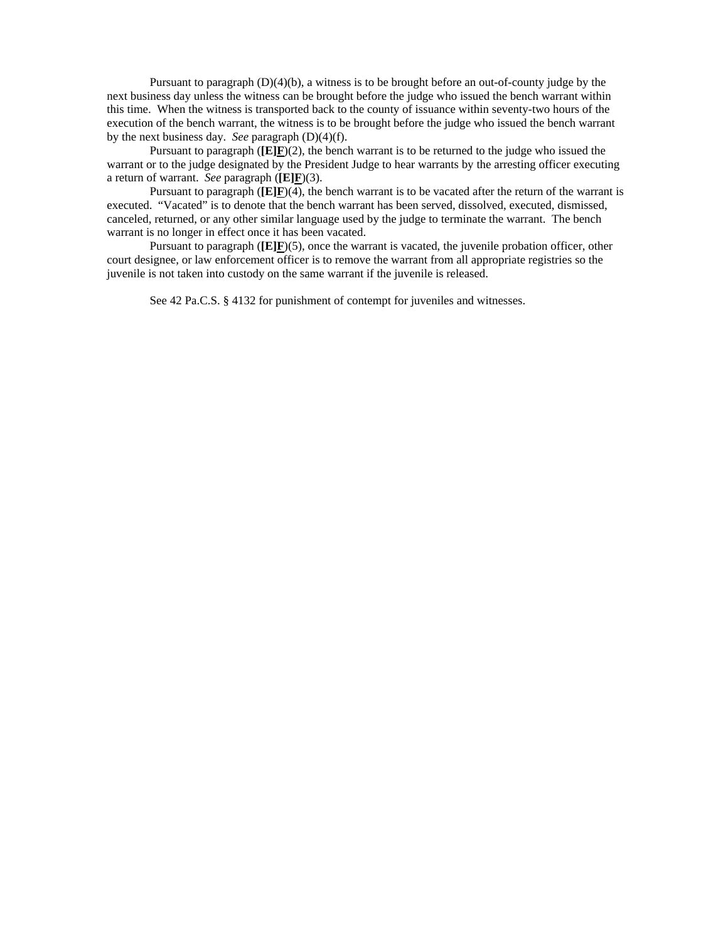Pursuant to paragraph (D)(4)(b), a witness is to be brought before an out-of-county judge by the next business day unless the witness can be brought before the judge who issued the bench warrant within this time. When the witness is transported back to the county of issuance within seventy-two hours of the execution of the bench warrant, the witness is to be brought before the judge who issued the bench warrant by the next business day. *See* paragraph (D)(4)(f).

Pursuant to paragraph  $(\mathbf{E}|\mathbf{F})$ (2), the bench warrant is to be returned to the judge who issued the warrant or to the judge designated by the President Judge to hear warrants by the arresting officer executing a return of warrant. *See* paragraph (**[E]F**)(3).

Pursuant to paragraph (**[E]F**)(4), the bench warrant is to be vacated after the return of the warrant is executed. "Vacated" is to denote that the bench warrant has been served, dissolved, executed, dismissed, canceled, returned, or any other similar language used by the judge to terminate the warrant. The bench warrant is no longer in effect once it has been vacated.

Pursuant to paragraph ( $[E]E$ )(5), once the warrant is vacated, the juvenile probation officer, other court designee, or law enforcement officer is to remove the warrant from all appropriate registries so the juvenile is not taken into custody on the same warrant if the juvenile is released.

See 42 Pa.C.S. § 4132 for punishment of contempt for juveniles and witnesses.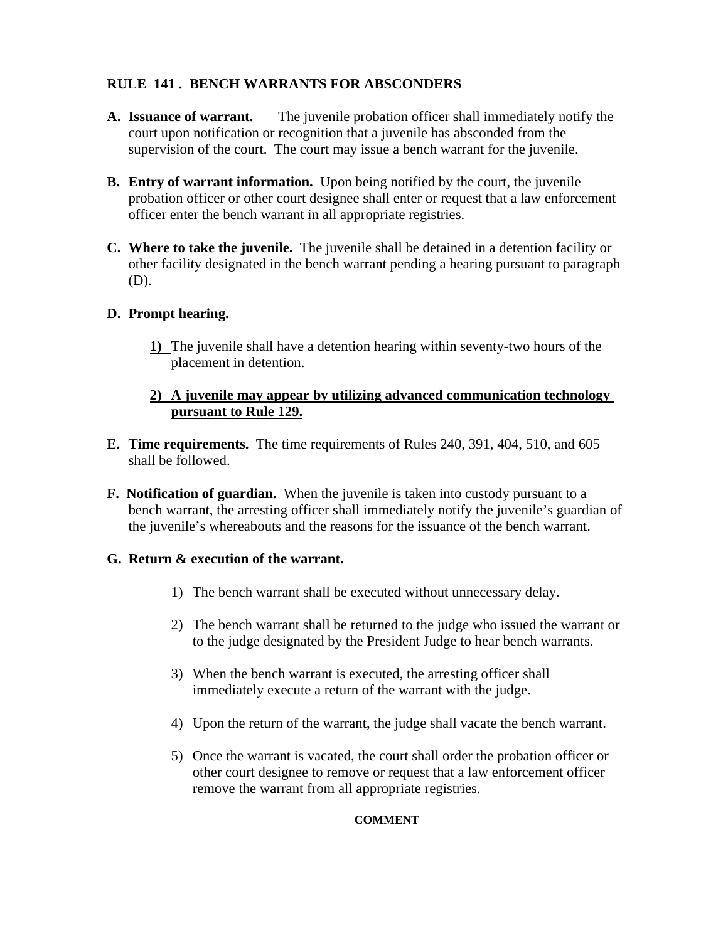# **RULE 141 . BENCH WARRANTS FOR ABSCONDERS**

- **A. Issuance of warrant.** The juvenile probation officer shall immediately notify the court upon notification or recognition that a juvenile has absconded from the supervision of the court. The court may issue a bench warrant for the juvenile.
- **B. Entry of warrant information.** Upon being notified by the court, the juvenile probation officer or other court designee shall enter or request that a law enforcement officer enter the bench warrant in all appropriate registries.
- **C. Where to take the juvenile.** The juvenile shall be detained in a detention facility or other facility designated in the bench warrant pending a hearing pursuant to paragraph (D).

# **D. Prompt hearing.**

**1)** The juvenile shall have a detention hearing within seventy-two hours of the placement in detention.

# **2) A juvenile may appear by utilizing advanced communication technology pursuant to Rule 129.**

- **E. Time requirements.** The time requirements of Rules 240, 391, 404, 510, and 605 shall be followed.
- **F. Notification of guardian.** When the juvenile is taken into custody pursuant to a bench warrant, the arresting officer shall immediately notify the juvenile's guardian of the juvenile's whereabouts and the reasons for the issuance of the bench warrant.

# **G. Return & execution of the warrant.**

- 1) The bench warrant shall be executed without unnecessary delay.
- 2) The bench warrant shall be returned to the judge who issued the warrant or to the judge designated by the President Judge to hear bench warrants.
- 3) When the bench warrant is executed, the arresting officer shall immediately execute a return of the warrant with the judge.
- 4) Upon the return of the warrant, the judge shall vacate the bench warrant.
- 5) Once the warrant is vacated, the court shall order the probation officer or other court designee to remove or request that a law enforcement officer remove the warrant from all appropriate registries.

#### **COMMENT**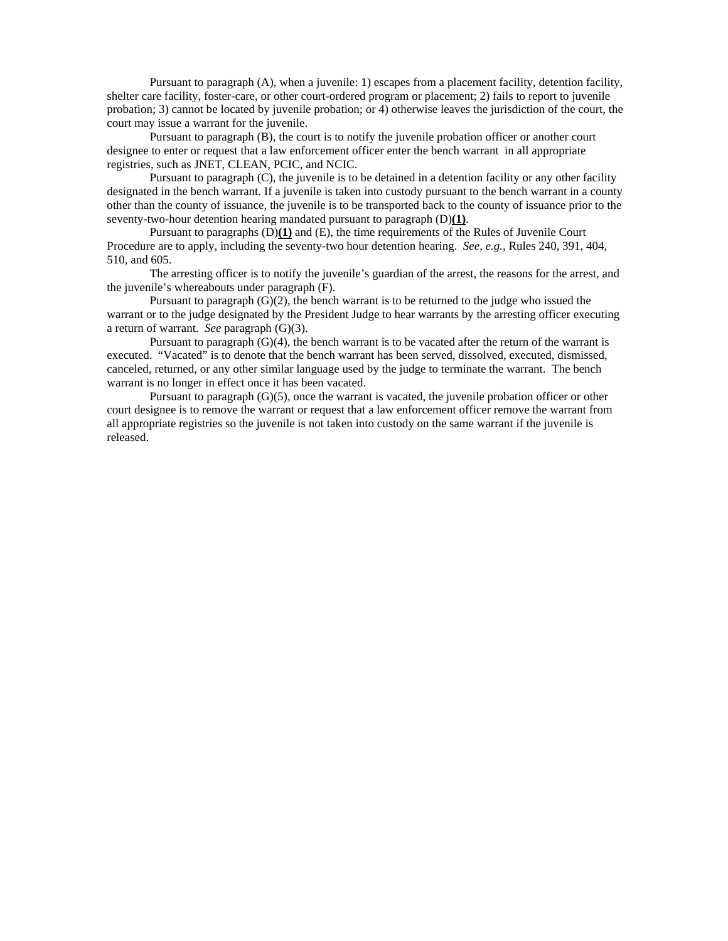Pursuant to paragraph (A), when a juvenile: 1) escapes from a placement facility, detention facility, shelter care facility, foster-care, or other court-ordered program or placement; 2) fails to report to juvenile probation; 3) cannot be located by juvenile probation; or 4) otherwise leaves the jurisdiction of the court, the court may issue a warrant for the juvenile.

Pursuant to paragraph (B), the court is to notify the juvenile probation officer or another court designee to enter or request that a law enforcement officer enter the bench warrant in all appropriate registries, such as JNET, CLEAN, PCIC, and NCIC.

Pursuant to paragraph (C), the juvenile is to be detained in a detention facility or any other facility designated in the bench warrant. If a juvenile is taken into custody pursuant to the bench warrant in a county other than the county of issuance, the juvenile is to be transported back to the county of issuance prior to the seventy-two-hour detention hearing mandated pursuant to paragraph (D)**(1)**.

Pursuant to paragraphs (D)**(1)** and (E), the time requirements of the Rules of Juvenile Court Procedure are to apply, including the seventy-two hour detention hearing. *See, e.g.,* Rules 240, 391, 404, 510, and 605.

The arresting officer is to notify the juvenile's guardian of the arrest, the reasons for the arrest, and the juvenile's whereabouts under paragraph (F).

Pursuant to paragraph  $(G)(2)$ , the bench warrant is to be returned to the judge who issued the warrant or to the judge designated by the President Judge to hear warrants by the arresting officer executing a return of warrant. *See* paragraph (G)(3).

Pursuant to paragraph  $(G)(4)$ , the bench warrant is to be vacated after the return of the warrant is executed. "Vacated" is to denote that the bench warrant has been served, dissolved, executed, dismissed, canceled, returned, or any other similar language used by the judge to terminate the warrant. The bench warrant is no longer in effect once it has been vacated.

Pursuant to paragraph (G)(5), once the warrant is vacated, the juvenile probation officer or other court designee is to remove the warrant or request that a law enforcement officer remove the warrant from all appropriate registries so the juvenile is not taken into custody on the same warrant if the juvenile is released.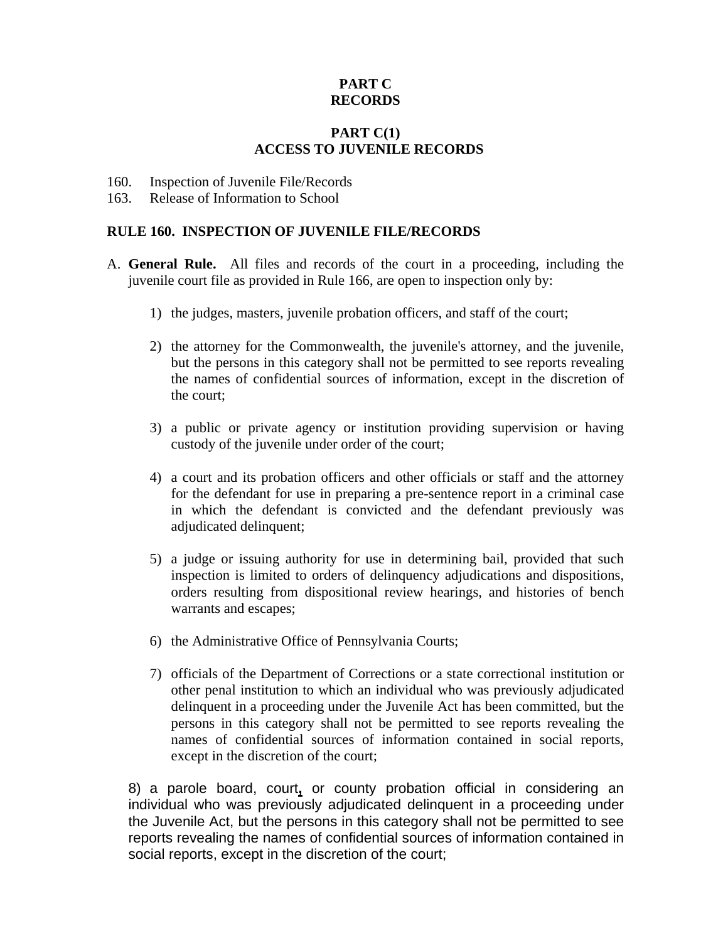# **PART C RECORDS**

# **PART C(1) ACCESS TO JUVENILE RECORDS**

- 160. Inspection of Juvenile File/Records
- 163. Release of Information to School

#### **RULE 160. INSPECTION OF JUVENILE FILE/RECORDS**

- A. **General Rule.** All files and records of the court in a proceeding, including the juvenile court file as provided in Rule 166, are open to inspection only by:
	- 1) the judges, masters, juvenile probation officers, and staff of the court;
	- 2) the attorney for the Commonwealth, the juvenile's attorney, and the juvenile, but the persons in this category shall not be permitted to see reports revealing the names of confidential sources of information, except in the discretion of the court;
	- 3) a public or private agency or institution providing supervision or having custody of the juvenile under order of the court;
	- 4) a court and its probation officers and other officials or staff and the attorney for the defendant for use in preparing a pre-sentence report in a criminal case in which the defendant is convicted and the defendant previously was adjudicated delinquent;
	- 5) a judge or issuing authority for use in determining bail, provided that such inspection is limited to orders of delinquency adjudications and dispositions, orders resulting from dispositional review hearings, and histories of bench warrants and escapes;
	- 6) the Administrative Office of Pennsylvania Courts;
	- 7) officials of the Department of Corrections or a state correctional institution or other penal institution to which an individual who was previously adjudicated delinquent in a proceeding under the Juvenile Act has been committed, but the persons in this category shall not be permitted to see reports revealing the names of confidential sources of information contained in social reports, except in the discretion of the court;

8) a parole board, court**,** or county probation official in considering an individual who was previously adjudicated delinquent in a proceeding under the Juvenile Act, but the persons in this category shall not be permitted to see reports revealing the names of confidential sources of information contained in social reports, except in the discretion of the court;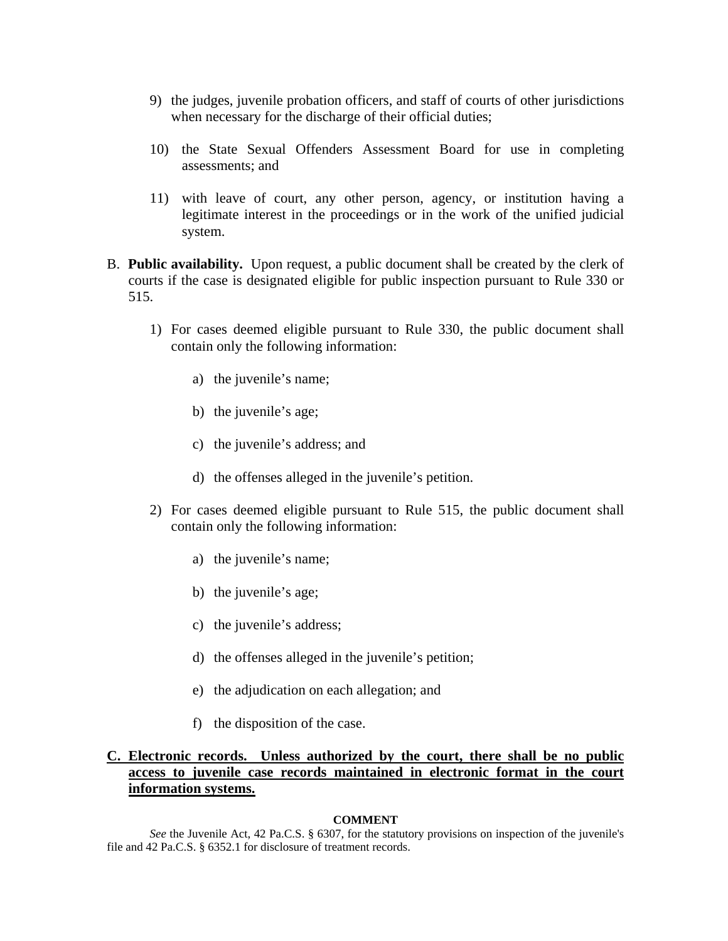- 9) the judges, juvenile probation officers, and staff of courts of other jurisdictions when necessary for the discharge of their official duties;
- 10) the State Sexual Offenders Assessment Board for use in completing assessments; and
- 11) with leave of court, any other person, agency, or institution having a legitimate interest in the proceedings or in the work of the unified judicial system.
- B. **Public availability.** Upon request, a public document shall be created by the clerk of courts if the case is designated eligible for public inspection pursuant to Rule 330 or 515.
	- 1) For cases deemed eligible pursuant to Rule 330, the public document shall contain only the following information:
		- a) the juvenile's name;
		- b) the juvenile's age;
		- c) the juvenile's address; and
		- d) the offenses alleged in the juvenile's petition.
	- 2) For cases deemed eligible pursuant to Rule 515, the public document shall contain only the following information:
		- a) the juvenile's name;
		- b) the juvenile's age;
		- c) the juvenile's address;
		- d) the offenses alleged in the juvenile's petition;
		- e) the adjudication on each allegation; and
		- f) the disposition of the case.

### **C. Electronic records. Unless authorized by the court, there shall be no public access to juvenile case records maintained in electronic format in the court information systems.**

#### **COMMENT**

*See* the Juvenile Act, 42 Pa.C.S. § 6307, for the statutory provisions on inspection of the juvenile's file and 42 Pa.C.S. § 6352.1 for disclosure of treatment records.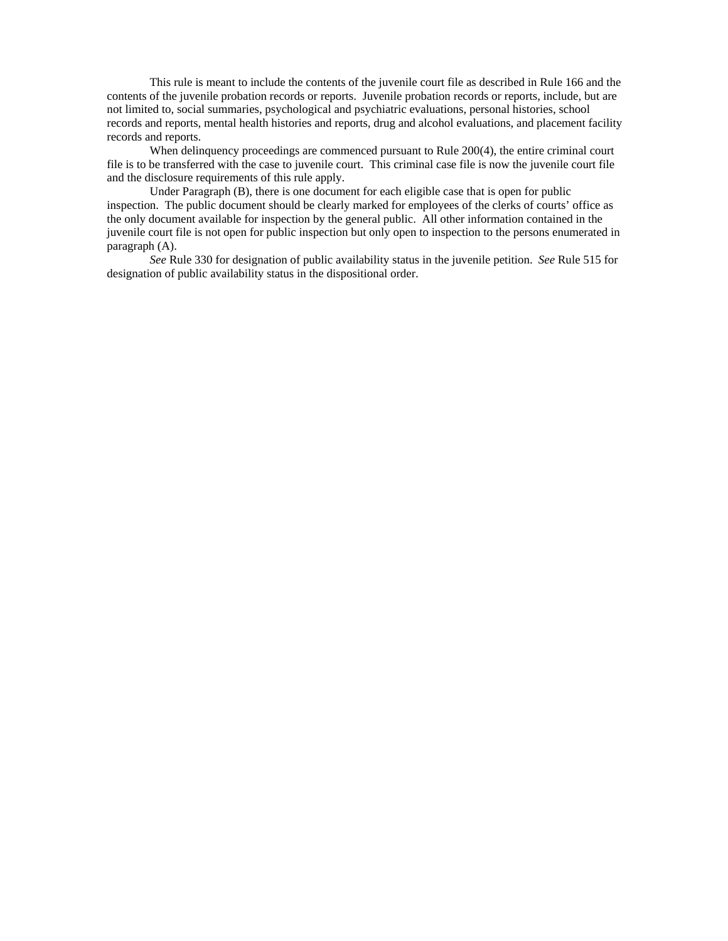This rule is meant to include the contents of the juvenile court file as described in Rule 166 and the contents of the juvenile probation records or reports. Juvenile probation records or reports, include, but are not limited to, social summaries, psychological and psychiatric evaluations, personal histories, school records and reports, mental health histories and reports, drug and alcohol evaluations, and placement facility records and reports.

When delinquency proceedings are commenced pursuant to Rule 200(4), the entire criminal court file is to be transferred with the case to juvenile court. This criminal case file is now the juvenile court file and the disclosure requirements of this rule apply.

 Under Paragraph (B), there is one document for each eligible case that is open for public inspection. The public document should be clearly marked for employees of the clerks of courts' office as the only document available for inspection by the general public. All other information contained in the juvenile court file is not open for public inspection but only open to inspection to the persons enumerated in paragraph (A).

*See* Rule 330 for designation of public availability status in the juvenile petition. *See* Rule 515 for designation of public availability status in the dispositional order.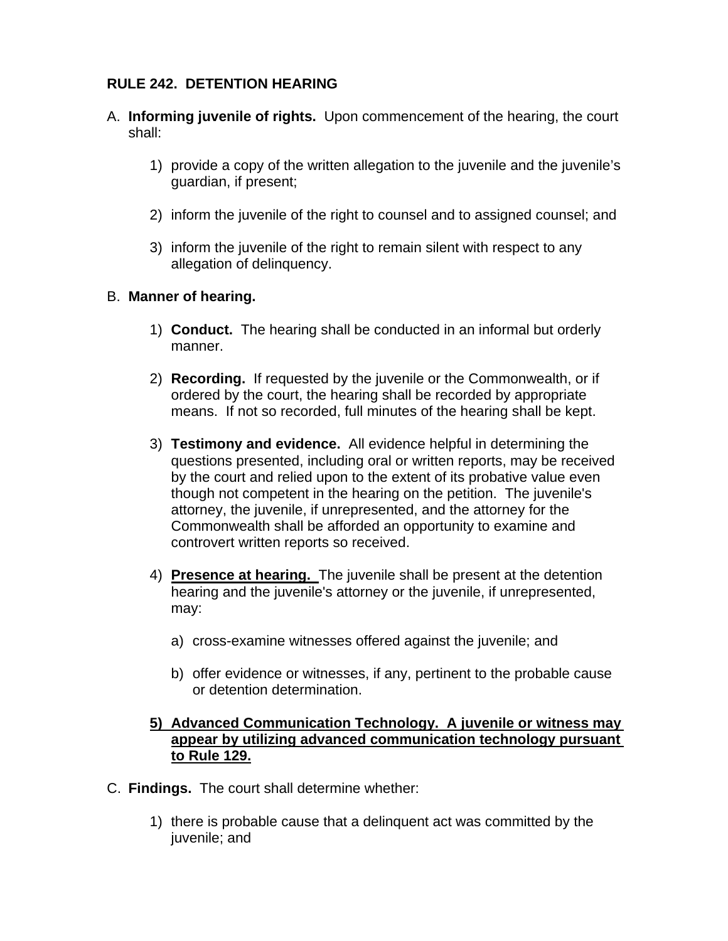# **RULE 242. DETENTION HEARING**

- A. **Informing juvenile of rights.** Upon commencement of the hearing, the court shall:
	- 1) provide a copy of the written allegation to the juvenile and the juvenile's guardian, if present;
	- 2) inform the juvenile of the right to counsel and to assigned counsel; and
	- 3) inform the juvenile of the right to remain silent with respect to any allegation of delinquency.

# B. **Manner of hearing.**

- 1) **Conduct.** The hearing shall be conducted in an informal but orderly manner.
- 2) **Recording.** If requested by the juvenile or the Commonwealth, or if ordered by the court, the hearing shall be recorded by appropriate means. If not so recorded, full minutes of the hearing shall be kept.
- 3) **Testimony and evidence.** All evidence helpful in determining the questions presented, including oral or written reports, may be received by the court and relied upon to the extent of its probative value even though not competent in the hearing on the petition. The juvenile's attorney, the juvenile, if unrepresented, and the attorney for the Commonwealth shall be afforded an opportunity to examine and controvert written reports so received.
- 4) **Presence at hearing.** The juvenile shall be present at the detention hearing and the juvenile's attorney or the juvenile, if unrepresented, may:
	- a) cross-examine witnesses offered against the juvenile; and
	- b) offer evidence or witnesses, if any, pertinent to the probable cause or detention determination.

# **5) Advanced Communication Technology. A juvenile or witness may appear by utilizing advanced communication technology pursuant to Rule 129.**

- C. **Findings.** The court shall determine whether:
	- 1) there is probable cause that a delinquent act was committed by the juvenile; and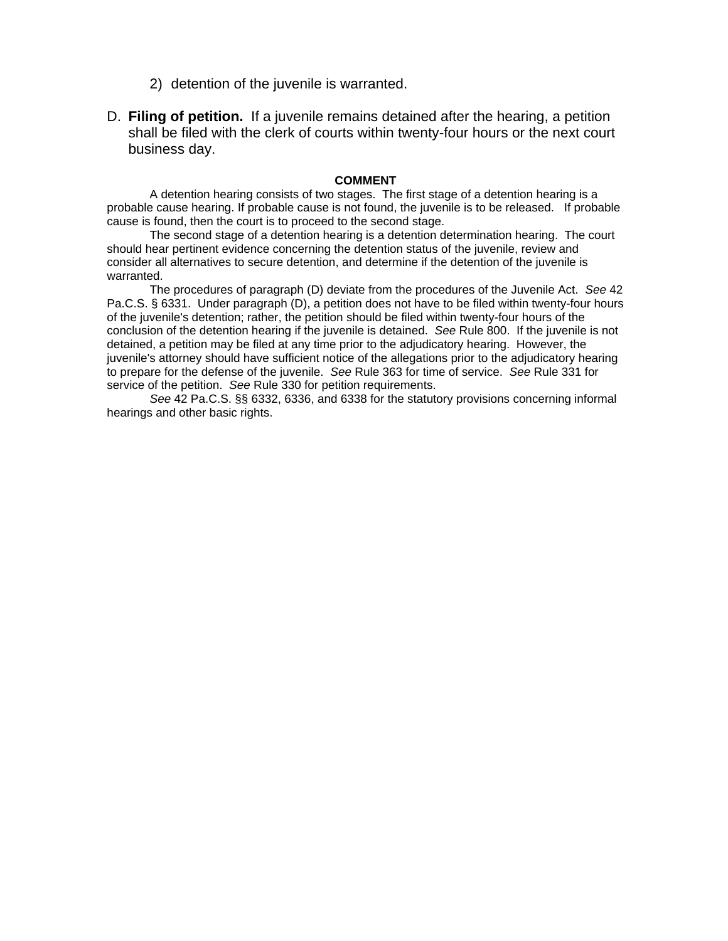- 2) detention of the juvenile is warranted.
- D. **Filing of petition.** If a juvenile remains detained after the hearing, a petition shall be filed with the clerk of courts within twenty-four hours or the next court business day.

#### **COMMENT**

A detention hearing consists of two stages. The first stage of a detention hearing is a probable cause hearing. If probable cause is not found, the juvenile is to be released. If probable cause is found, then the court is to proceed to the second stage.

The second stage of a detention hearing is a detention determination hearing. The court should hear pertinent evidence concerning the detention status of the juvenile, review and consider all alternatives to secure detention, and determine if the detention of the juvenile is warranted.

The procedures of paragraph (D) deviate from the procedures of the Juvenile Act. *See* 42 Pa.C.S. § 6331. Under paragraph (D), a petition does not have to be filed within twenty-four hours of the juvenile's detention; rather, the petition should be filed within twenty-four hours of the conclusion of the detention hearing if the juvenile is detained. *See* Rule 800. If the juvenile is not detained, a petition may be filed at any time prior to the adjudicatory hearing. However, the juvenile's attorney should have sufficient notice of the allegations prior to the adjudicatory hearing to prepare for the defense of the juvenile. *See* Rule 363 for time of service. *See* Rule 331 for service of the petition. *See* Rule 330 for petition requirements.

*See* 42 Pa.C.S. §§ 6332, 6336, and 6338 for the statutory provisions concerning informal hearings and other basic rights.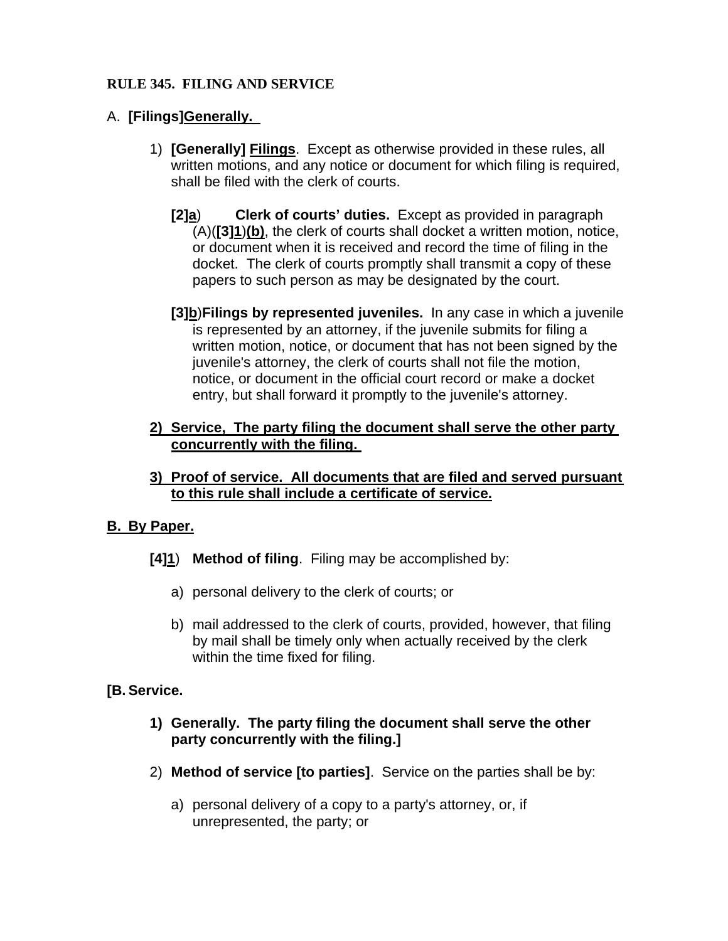# **RULE 345. FILING AND SERVICE**

# A. **[Filings]Generally.**

- 1) **[Generally] Filings**.Except as otherwise provided in these rules, all written motions, and any notice or document for which filing is required, shall be filed with the clerk of courts.
	- **[2]a**) **Clerk of courts' duties.** Except as provided in paragraph (A)(**[3]1**)**(b)**, the clerk of courts shall docket a written motion, notice, or document when it is received and record the time of filing in the docket. The clerk of courts promptly shall transmit a copy of these papers to such person as may be designated by the court.
	- **[3]b**)**Filings by represented juveniles.** In any case in which a juvenile is represented by an attorney, if the juvenile submits for filing a written motion, notice, or document that has not been signed by the juvenile's attorney, the clerk of courts shall not file the motion, notice, or document in the official court record or make a docket entry, but shall forward it promptly to the juvenile's attorney.
- **2) Service, The party filing the document shall serve the other party concurrently with the filing.**
- **3) Proof of service. All documents that are filed and served pursuant to this rule shall include a certificate of service.**

# **B. By Paper.**

- **[4]1**) **Method of filing**. Filing may be accomplished by:
	- a) personal delivery to the clerk of courts; or
	- b) mail addressed to the clerk of courts, provided, however, that filing by mail shall be timely only when actually received by the clerk within the time fixed for filing.

# **[B. Service.**

- **1) Generally. The party filing the document shall serve the other party concurrently with the filing.]**
- 2) **Method of service [to parties]**. Service on the parties shall be by:
	- a) personal delivery of a copy to a party's attorney, or, if unrepresented, the party; or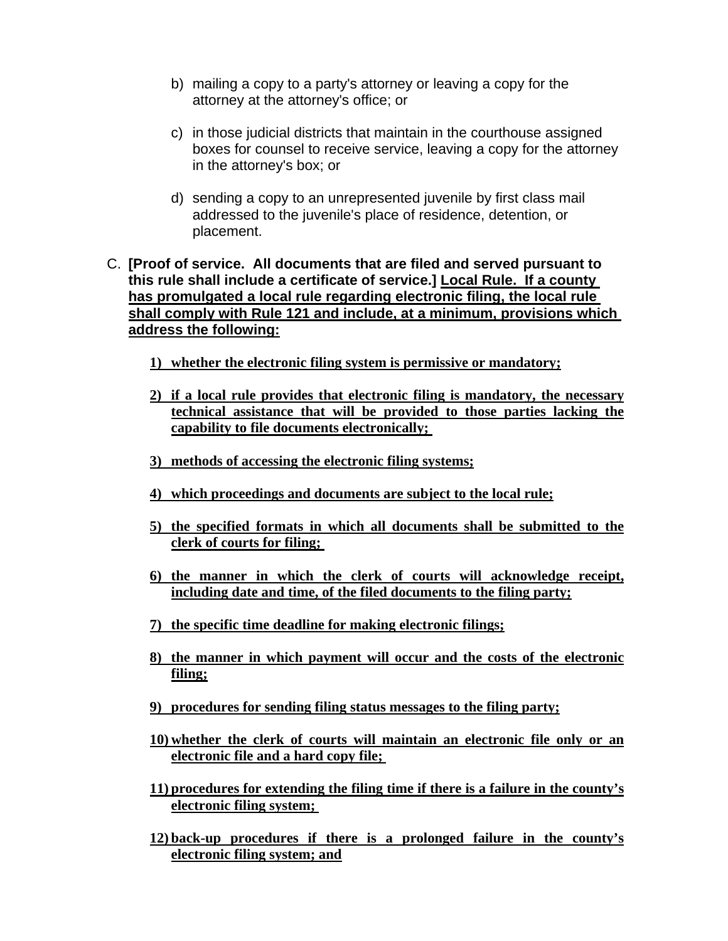- b) mailing a copy to a party's attorney or leaving a copy for the attorney at the attorney's office; or
- c) in those judicial districts that maintain in the courthouse assigned boxes for counsel to receive service, leaving a copy for the attorney in the attorney's box; or
- d) sending a copy to an unrepresented juvenile by first class mail addressed to the juvenile's place of residence, detention, or placement.
- C. **[Proof of service. All documents that are filed and served pursuant to this rule shall include a certificate of service.] Local Rule. If a county has promulgated a local rule regarding electronic filing, the local rule shall comply with Rule 121 and include, at a minimum, provisions which address the following:**
	- **1) whether the electronic filing system is permissive or mandatory;**
	- **2) if a local rule provides that electronic filing is mandatory, the necessary technical assistance that will be provided to those parties lacking the capability to file documents electronically;**
	- **3) methods of accessing the electronic filing systems;**
	- **4) which proceedings and documents are subject to the local rule;**
	- **5) the specified formats in which all documents shall be submitted to the clerk of courts for filing;**
	- **6) the manner in which the clerk of courts will acknowledge receipt, including date and time, of the filed documents to the filing party;**
	- **7) the specific time deadline for making electronic filings;**
	- **8) the manner in which payment will occur and the costs of the electronic filing;**
	- **9) procedures for sending filing status messages to the filing party;**
	- **10) whether the clerk of courts will maintain an electronic file only or an electronic file and a hard copy file;**
	- **11) procedures for extending the filing time if there is a failure in the county's electronic filing system;**
	- **12) back-up procedures if there is a prolonged failure in the county's electronic filing system; and**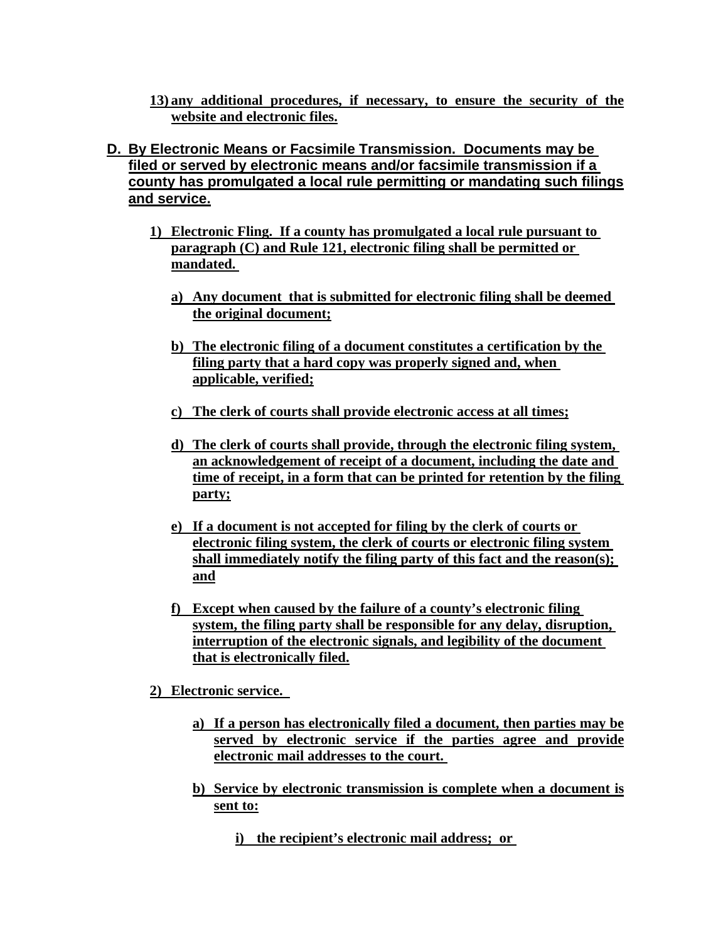**13) any additional procedures, if necessary, to ensure the security of the website and electronic files.**

- **D. By Electronic Means or Facsimile Transmission. Documents may be filed or served by electronic means and/or facsimile transmission if a county has promulgated a local rule permitting or mandating such filings and service.**
	- **1) Electronic Fling. If a county has promulgated a local rule pursuant to paragraph (C) and Rule 121, electronic filing shall be permitted or mandated.** 
		- **a) Any document that is submitted for electronic filing shall be deemed the original document;**
		- **b) The electronic filing of a document constitutes a certification by the filing party that a hard copy was properly signed and, when applicable, verified;**
		- **c) The clerk of courts shall provide electronic access at all times;**
		- **d) The clerk of courts shall provide, through the electronic filing system, an acknowledgement of receipt of a document, including the date and time of receipt, in a form that can be printed for retention by the filing party;**
		- **e) If a document is not accepted for filing by the clerk of courts or electronic filing system, the clerk of courts or electronic filing system shall immediately notify the filing party of this fact and the reason(s); and**
		- **f) Except when caused by the failure of a county's electronic filing system, the filing party shall be responsible for any delay, disruption, interruption of the electronic signals, and legibility of the document that is electronically filed.**
	- **2) Electronic service.** 
		- **a) If a person has electronically filed a document, then parties may be served by electronic service if the parties agree and provide electronic mail addresses to the court.**
		- **b) Service by electronic transmission is complete when a document is sent to:**
			- **i) the recipient's electronic mail address; or**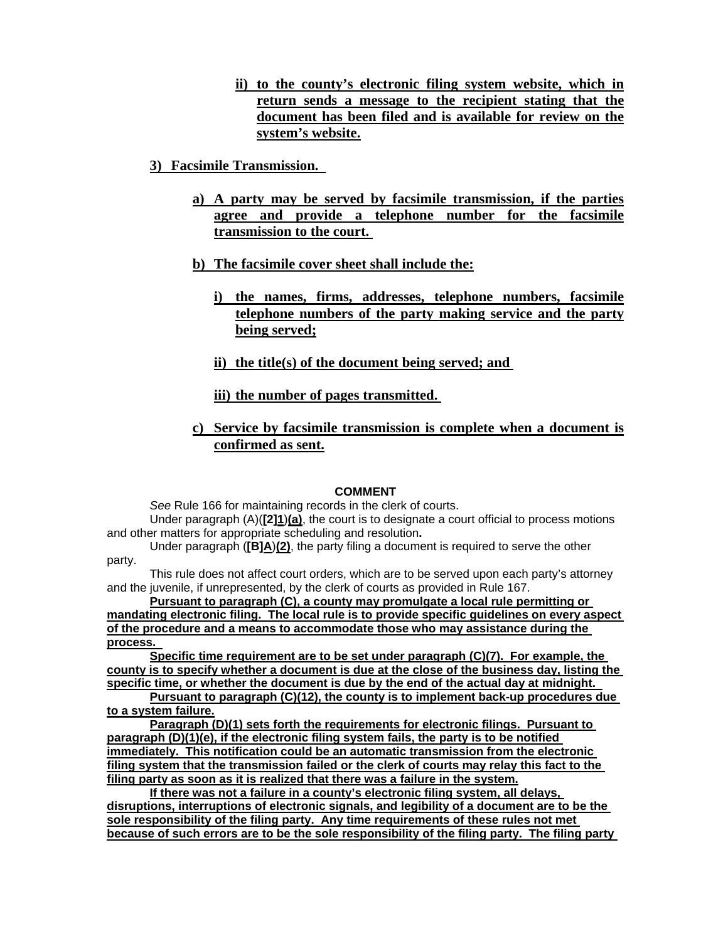- **ii) to the county's electronic filing system website, which in return sends a message to the recipient stating that the document has been filed and is available for review on the system's website.**
- **3) Facsimile Transmission.** 
	- **a) A party may be served by facsimile transmission, if the parties agree and provide a telephone number for the facsimile transmission to the court.**
	- **b) The facsimile cover sheet shall include the:**
		- **i) the names, firms, addresses, telephone numbers, facsimile telephone numbers of the party making service and the party being served;**
		- **ii) the title(s) of the document being served; and**

**iii) the number of pages transmitted.** 

**c) Service by facsimile transmission is complete when a document is confirmed as sent.**

#### **COMMENT**

*See* Rule 166 for maintaining records in the clerk of courts.

Under paragraph (A)(**[2]1**)**(a)**, the court is to designate a court official to process motions and other matters for appropriate scheduling and resolution**.** 

Under paragraph (**[B]A**)**(2)**, the party filing a document is required to serve the other party.

This rule does not affect court orders, which are to be served upon each party's attorney and the juvenile, if unrepresented, by the clerk of courts as provided in Rule 167.

**Pursuant to paragraph (C), a county may promulgate a local rule permitting or mandating electronic filing. The local rule is to provide specific guidelines on every aspect of the procedure and a means to accommodate those who may assistance during the process.** 

**Specific time requirement are to be set under paragraph (C)(7). For example, the county is to specify whether a document is due at the close of the business day, listing the specific time, or whether the document is due by the end of the actual day at midnight.** 

**Pursuant to paragraph (C)(12), the county is to implement back-up procedures due to a system failure.**

**Paragraph (D)(1) sets forth the requirements for electronic filings. Pursuant to paragraph (D)(1)(e), if the electronic filing system fails, the party is to be notified immediately. This notification could be an automatic transmission from the electronic filing system that the transmission failed or the clerk of courts may relay this fact to the filing party as soon as it is realized that there was a failure in the system.**

**If there was not a failure in a county's electronic filing system, all delays, disruptions, interruptions of electronic signals, and legibility of a document are to be the sole responsibility of the filing party. Any time requirements of these rules not met because of such errors are to be the sole responsibility of the filing party. The filing party**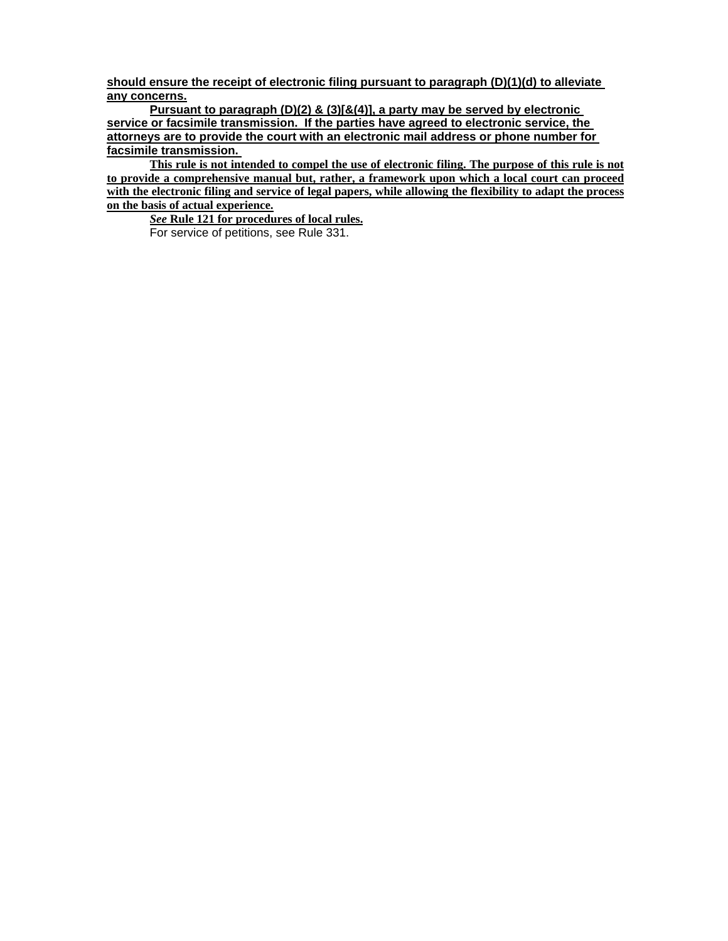**should ensure the receipt of electronic filing pursuant to paragraph (D)(1)(d) to alleviate any concerns.**

**Pursuant to paragraph (D)(2) & (3)[&(4)], a party may be served by electronic service or facsimile transmission. If the parties have agreed to electronic service, the attorneys are to provide the court with an electronic mail address or phone number for facsimile transmission.** 

**This rule is not intended to compel the use of electronic filing. The purpose of this rule is not to provide a comprehensive manual but, rather, a framework upon which a local court can proceed with the electronic filing and service of legal papers, while allowing the flexibility to adapt the process on the basis of actual experience.**

*See* **Rule 121 for procedures of local rules.** For service of petitions, see Rule 331.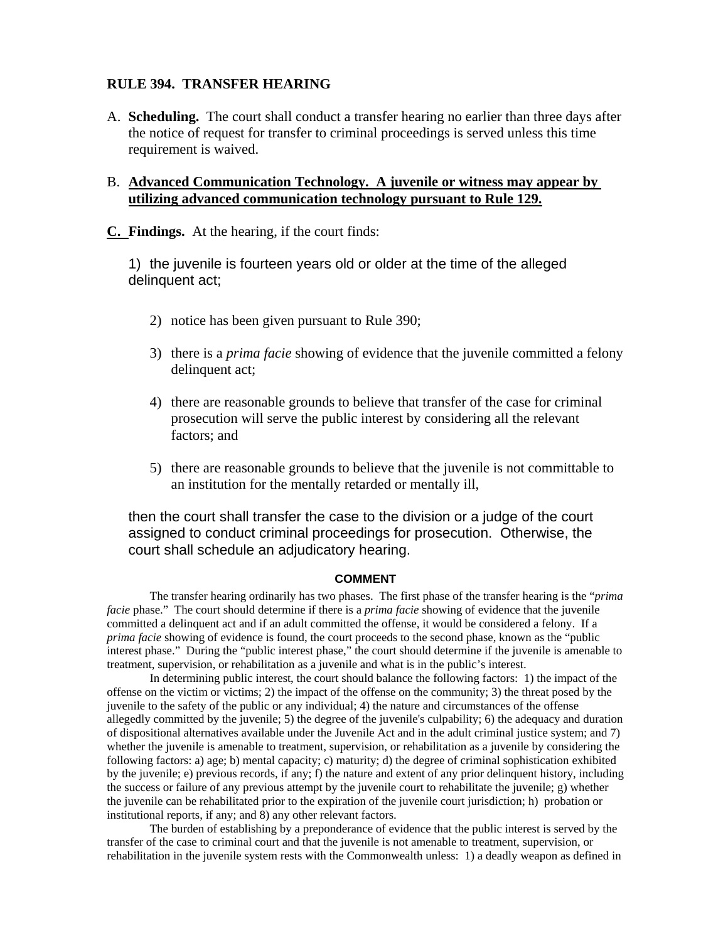#### **RULE 394. TRANSFER HEARING**

A. **Scheduling.** The court shall conduct a transfer hearing no earlier than three days after the notice of request for transfer to criminal proceedings is served unless this time requirement is waived.

#### B. **Advanced Communication Technology. A juvenile or witness may appear by utilizing advanced communication technology pursuant to Rule 129.**

**C. Findings.** At the hearing, if the court finds:

1) the juvenile is fourteen years old or older at the time of the alleged delinquent act;

- 2) notice has been given pursuant to Rule 390;
- 3) there is a *prima facie* showing of evidence that the juvenile committed a felony delinquent act;
- 4) there are reasonable grounds to believe that transfer of the case for criminal prosecution will serve the public interest by considering all the relevant factors; and
- 5) there are reasonable grounds to believe that the juvenile is not committable to an institution for the mentally retarded or mentally ill,

then the court shall transfer the case to the division or a judge of the court assigned to conduct criminal proceedings for prosecution. Otherwise, the court shall schedule an adjudicatory hearing.

#### **COMMENT**

The transfer hearing ordinarily has two phases. The first phase of the transfer hearing is the "*prima facie* phase." The court should determine if there is a *prima facie* showing of evidence that the juvenile committed a delinquent act and if an adult committed the offense, it would be considered a felony. If a *prima facie* showing of evidence is found, the court proceeds to the second phase, known as the "public interest phase." During the "public interest phase," the court should determine if the juvenile is amenable to treatment, supervision, or rehabilitation as a juvenile and what is in the public's interest.

In determining public interest, the court should balance the following factors: 1) the impact of the offense on the victim or victims; 2) the impact of the offense on the community; 3) the threat posed by the juvenile to the safety of the public or any individual; 4) the nature and circumstances of the offense allegedly committed by the juvenile; 5) the degree of the juvenile's culpability; 6) the adequacy and duration of dispositional alternatives available under the Juvenile Act and in the adult criminal justice system; and 7) whether the juvenile is amenable to treatment, supervision, or rehabilitation as a juvenile by considering the following factors: a) age; b) mental capacity; c) maturity; d) the degree of criminal sophistication exhibited by the juvenile; e) previous records, if any; f) the nature and extent of any prior delinquent history, including the success or failure of any previous attempt by the juvenile court to rehabilitate the juvenile; g) whether the juvenile can be rehabilitated prior to the expiration of the juvenile court jurisdiction; h) probation or institutional reports, if any; and 8) any other relevant factors.

The burden of establishing by a preponderance of evidence that the public interest is served by the transfer of the case to criminal court and that the juvenile is not amenable to treatment, supervision, or rehabilitation in the juvenile system rests with the Commonwealth unless: 1) a deadly weapon as defined in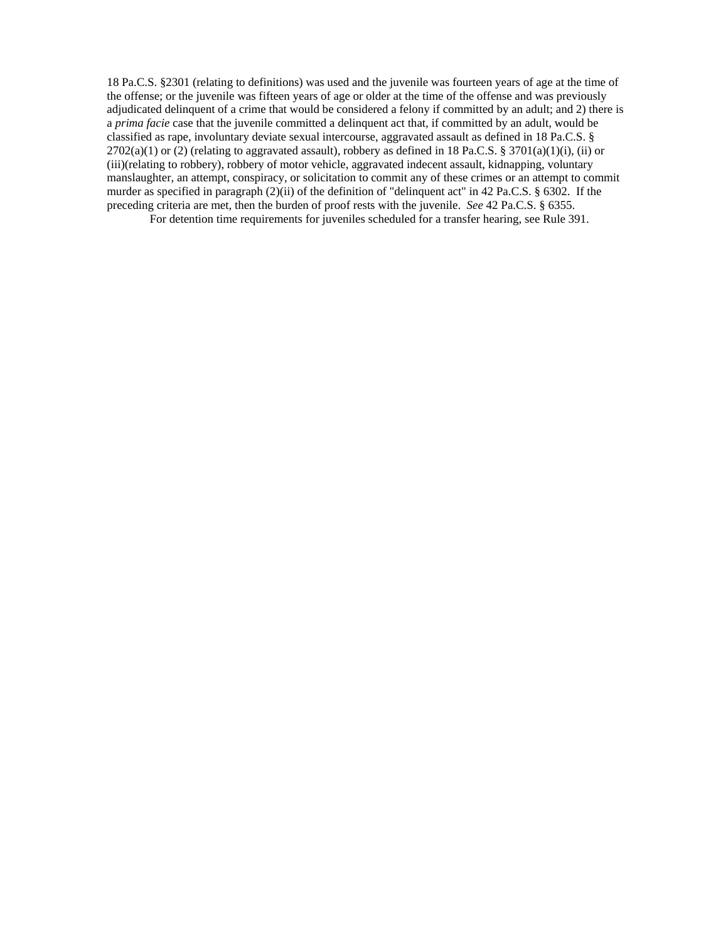18 Pa.C.S. §2301 (relating to definitions) was used and the juvenile was fourteen years of age at the time of the offense; or the juvenile was fifteen years of age or older at the time of the offense and was previously adjudicated delinquent of a crime that would be considered a felony if committed by an adult; and 2) there is a *prima facie* case that the juvenile committed a delinquent act that, if committed by an adult, would be classified as rape, involuntary deviate sexual intercourse, aggravated assault as defined in 18 Pa.C.S. §  $2702(a)(1)$  or (2) (relating to aggravated assault), robbery as defined in 18 Pa.C.S. § 3701(a)(1)(i), (ii) or (iii)(relating to robbery), robbery of motor vehicle, aggravated indecent assault, kidnapping, voluntary manslaughter, an attempt, conspiracy, or solicitation to commit any of these crimes or an attempt to commit murder as specified in paragraph (2)(ii) of the definition of "delinquent act" in 42 Pa.C.S. § 6302. If the preceding criteria are met, then the burden of proof rests with the juvenile. *See* 42 Pa.C.S. § 6355.

For detention time requirements for juveniles scheduled for a transfer hearing, see Rule 391.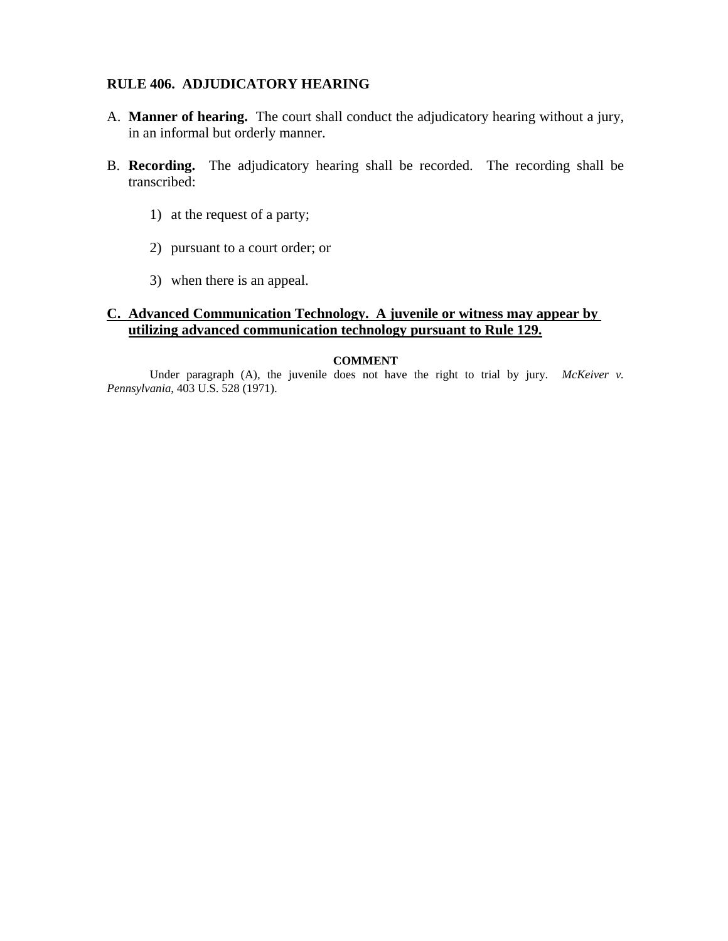#### **RULE 406. ADJUDICATORY HEARING**

- A. **Manner of hearing.** The court shall conduct the adjudicatory hearing without a jury, in an informal but orderly manner.
- B. **Recording.** The adjudicatory hearing shall be recorded. The recording shall be transcribed:
	- 1) at the request of a party;
	- 2) pursuant to a court order; or
	- 3) when there is an appeal.

### **C. Advanced Communication Technology. A juvenile or witness may appear by utilizing advanced communication technology pursuant to Rule 129.**

#### **COMMENT**

Under paragraph (A), the juvenile does not have the right to trial by jury. *McKeiver v. Pennsylvania*, 403 U.S. 528 (1971).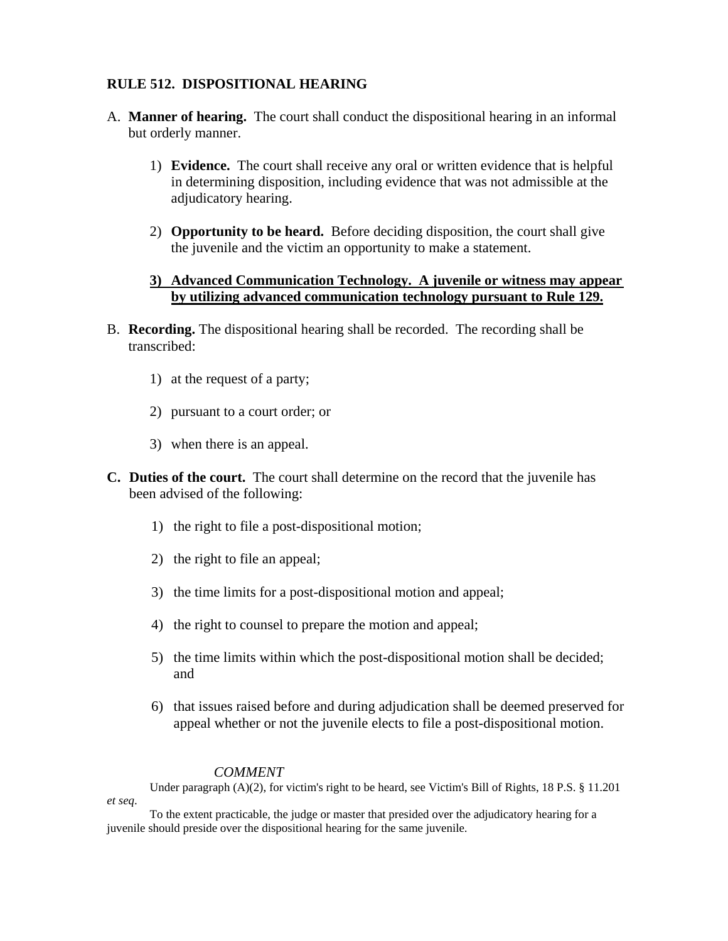### **RULE 512. DISPOSITIONAL HEARING**

- A. **Manner of hearing.** The court shall conduct the dispositional hearing in an informal but orderly manner.
	- 1) **Evidence.** The court shall receive any oral or written evidence that is helpful in determining disposition, including evidence that was not admissible at the adjudicatory hearing.
	- 2) **Opportunity to be heard.** Before deciding disposition, the court shall give the juvenile and the victim an opportunity to make a statement.

### **3) Advanced Communication Technology. A juvenile or witness may appear by utilizing advanced communication technology pursuant to Rule 129.**

- B. **Recording.** The dispositional hearing shall be recorded. The recording shall be transcribed:
	- 1) at the request of a party;
	- 2) pursuant to a court order; or
	- 3) when there is an appeal.
- **C. Duties of the court.** The court shall determine on the record that the juvenile has been advised of the following:
	- 1) the right to file a post-dispositional motion;
	- 2) the right to file an appeal;
	- 3) the time limits for a post-dispositional motion and appeal;
	- 4) the right to counsel to prepare the motion and appeal;
	- 5) the time limits within which the post-dispositional motion shall be decided; and
	- 6) that issues raised before and during adjudication shall be deemed preserved for appeal whether or not the juvenile elects to file a post-dispositional motion.

#### *COMMENT*

Under paragraph (A)(2), for victim's right to be heard, see Victim's Bill of Rights, 18 P.S. § 11.201 *et seq*.

To the extent practicable, the judge or master that presided over the adjudicatory hearing for a juvenile should preside over the dispositional hearing for the same juvenile.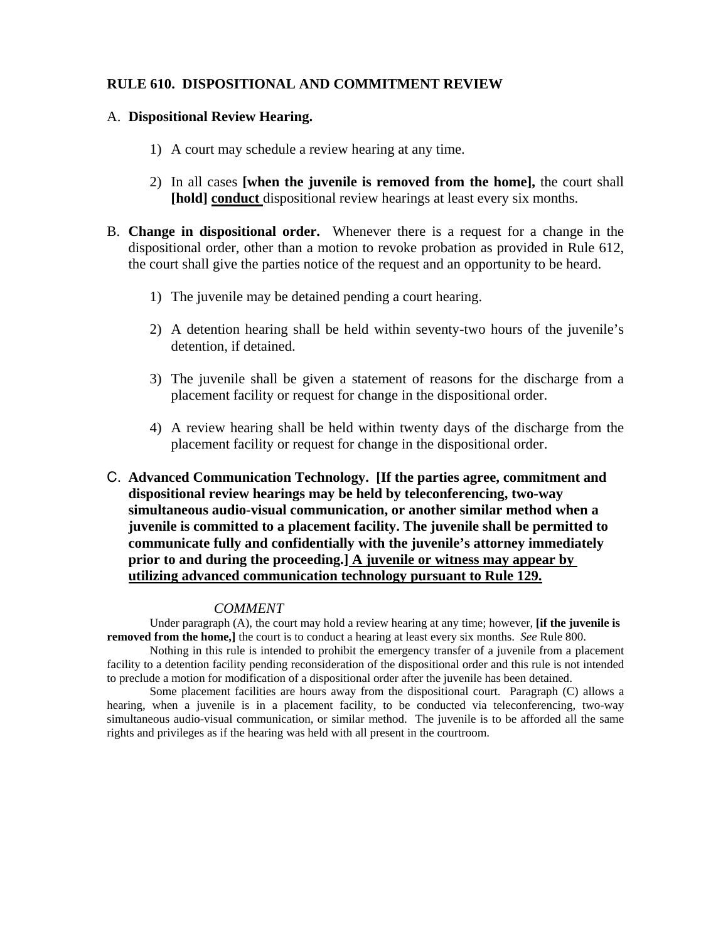#### **RULE 610. DISPOSITIONAL AND COMMITMENT REVIEW**

#### A. **Dispositional Review Hearing.**

- 1) A court may schedule a review hearing at any time.
- 2) In all cases **[when the juvenile is removed from the home],** the court shall **[hold] conduct** dispositional review hearings at least every six months.
- B. **Change in dispositional order.** Whenever there is a request for a change in the dispositional order, other than a motion to revoke probation as provided in Rule 612, the court shall give the parties notice of the request and an opportunity to be heard.
	- 1) The juvenile may be detained pending a court hearing.
	- 2) A detention hearing shall be held within seventy-two hours of the juvenile's detention, if detained.
	- 3) The juvenile shall be given a statement of reasons for the discharge from a placement facility or request for change in the dispositional order.
	- 4) A review hearing shall be held within twenty days of the discharge from the placement facility or request for change in the dispositional order.
- C. **Advanced Communication Technology. [If the parties agree, commitment and dispositional review hearings may be held by teleconferencing, two-way simultaneous audio-visual communication, or another similar method when a juvenile is committed to a placement facility. The juvenile shall be permitted to communicate fully and confidentially with the juvenile's attorney immediately prior to and during the proceeding.] A juvenile or witness may appear by utilizing advanced communication technology pursuant to Rule 129.**

#### *COMMENT*

Under paragraph (A), the court may hold a review hearing at any time; however, **[if the juvenile is removed from the home,]** the court is to conduct a hearing at least every six months. *See* Rule 800.

Nothing in this rule is intended to prohibit the emergency transfer of a juvenile from a placement facility to a detention facility pending reconsideration of the dispositional order and this rule is not intended to preclude a motion for modification of a dispositional order after the juvenile has been detained.

Some placement facilities are hours away from the dispositional court. Paragraph (C) allows a hearing, when a juvenile is in a placement facility, to be conducted via teleconferencing, two-way simultaneous audio-visual communication, or similar method. The juvenile is to be afforded all the same rights and privileges as if the hearing was held with all present in the courtroom.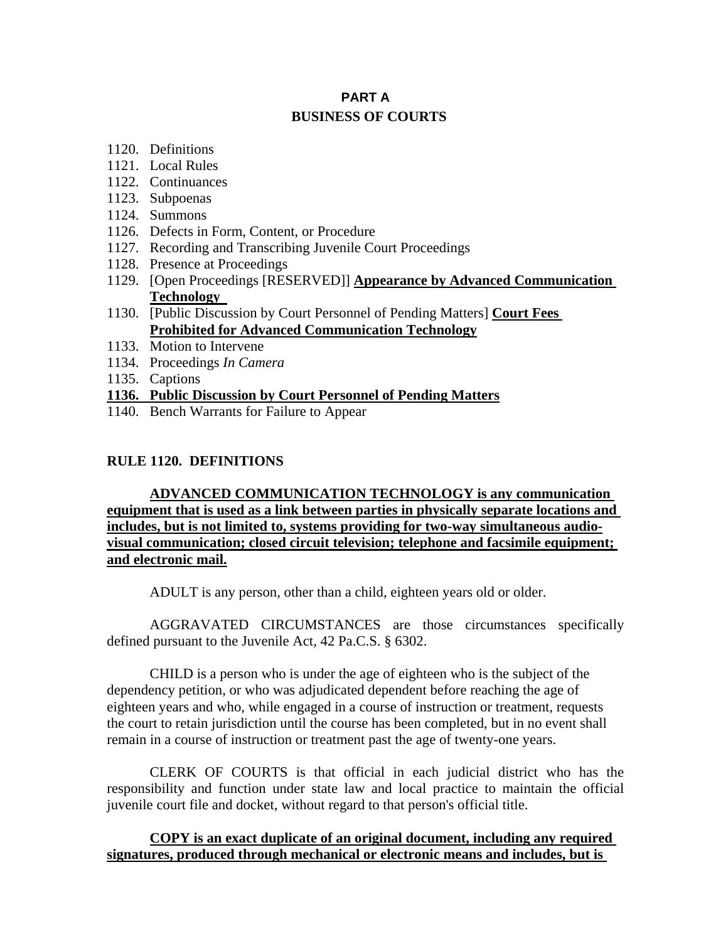# **PART A BUSINESS OF COURTS**

- 1120. Definitions
- 1121. Local Rules
- 1122. Continuances
- 1123. Subpoenas
- 1124. Summons
- 1126. Defects in Form, Content, or Procedure
- 1127. Recording and Transcribing Juvenile Court Proceedings
- 1128. Presence at Proceedings
- 1129. [Open Proceedings [RESERVED]] **Appearance by Advanced Communication Technology**
- 1130. [Public Discussion by Court Personnel of Pending Matters] **Court Fees Prohibited for Advanced Communication Technology**
- 1133. Motion to Intervene
- 1134. Proceedings *In Camera*
- 1135. Captions

#### **1136. Public Discussion by Court Personnel of Pending Matters**

1140. Bench Warrants for Failure to Appear

#### **RULE 1120. DEFINITIONS**

**ADVANCED COMMUNICATION TECHNOLOGY is any communication equipment that is used as a link between parties in physically separate locations and includes, but is not limited to, systems providing for two-way simultaneous audiovisual communication; closed circuit television; telephone and facsimile equipment; and electronic mail.**

ADULT is any person, other than a child, eighteen years old or older.

AGGRAVATED CIRCUMSTANCES are those circumstances specifically defined pursuant to the Juvenile Act, 42 Pa.C.S. § 6302.

CHILD is a person who is under the age of eighteen who is the subject of the dependency petition, or who was adjudicated dependent before reaching the age of eighteen years and who, while engaged in a course of instruction or treatment, requests the court to retain jurisdiction until the course has been completed, but in no event shall remain in a course of instruction or treatment past the age of twenty-one years.

CLERK OF COURTS is that official in each judicial district who has the responsibility and function under state law and local practice to maintain the official juvenile court file and docket, without regard to that person's official title.

#### **COPY is an exact duplicate of an original document, including any required signatures, produced through mechanical or electronic means and includes, but is**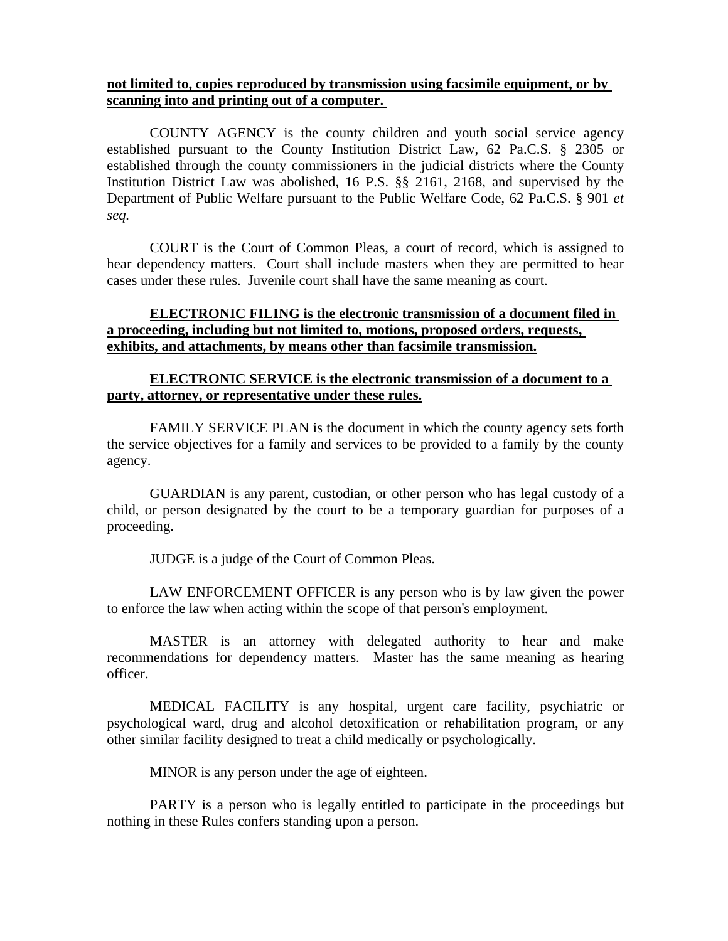#### **not limited to, copies reproduced by transmission using facsimile equipment, or by scanning into and printing out of a computer.**

COUNTY AGENCY is the county children and youth social service agency established pursuant to the County Institution District Law, 62 Pa.C.S. § 2305 or established through the county commissioners in the judicial districts where the County Institution District Law was abolished, 16 P.S. §§ 2161, 2168, and supervised by the Department of Public Welfare pursuant to the Public Welfare Code, 62 Pa.C.S. § 901 *et seq.* 

COURT is the Court of Common Pleas, a court of record, which is assigned to hear dependency matters. Court shall include masters when they are permitted to hear cases under these rules. Juvenile court shall have the same meaning as court.

### **ELECTRONIC FILING is the electronic transmission of a document filed in a proceeding, including but not limited to, motions, proposed orders, requests, exhibits, and attachments, by means other than facsimile transmission.**

#### **ELECTRONIC SERVICE is the electronic transmission of a document to a party, attorney, or representative under these rules.**

FAMILY SERVICE PLAN is the document in which the county agency sets forth the service objectives for a family and services to be provided to a family by the county agency.

GUARDIAN is any parent, custodian, or other person who has legal custody of a child, or person designated by the court to be a temporary guardian for purposes of a proceeding.

JUDGE is a judge of the Court of Common Pleas.

LAW ENFORCEMENT OFFICER is any person who is by law given the power to enforce the law when acting within the scope of that person's employment.

MASTER is an attorney with delegated authority to hear and make recommendations for dependency matters. Master has the same meaning as hearing officer.

MEDICAL FACILITY is any hospital, urgent care facility, psychiatric or psychological ward, drug and alcohol detoxification or rehabilitation program, or any other similar facility designed to treat a child medically or psychologically.

MINOR is any person under the age of eighteen.

PARTY is a person who is legally entitled to participate in the proceedings but nothing in these Rules confers standing upon a person.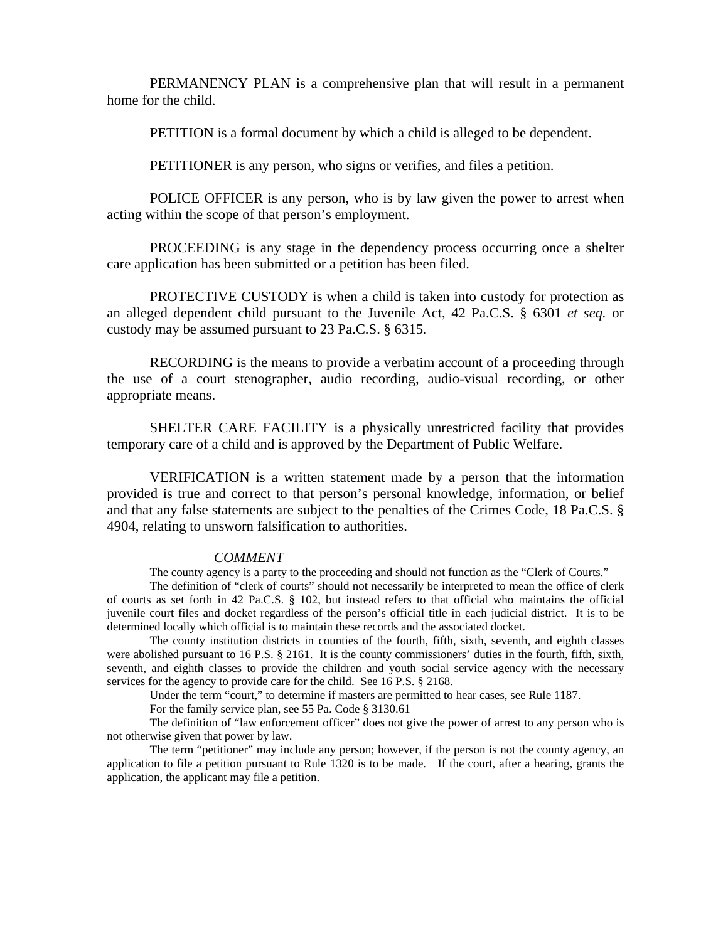PERMANENCY PLAN is a comprehensive plan that will result in a permanent home for the child.

PETITION is a formal document by which a child is alleged to be dependent.

PETITIONER is any person, who signs or verifies, and files a petition.

POLICE OFFICER is any person, who is by law given the power to arrest when acting within the scope of that person's employment.

PROCEEDING is any stage in the dependency process occurring once a shelter care application has been submitted or a petition has been filed.

PROTECTIVE CUSTODY is when a child is taken into custody for protection as an alleged dependent child pursuant to the Juvenile Act, 42 Pa.C.S. § 6301 *et seq.* or custody may be assumed pursuant to 23 Pa.C.S. § 6315*.* 

RECORDING is the means to provide a verbatim account of a proceeding through the use of a court stenographer, audio recording, audio-visual recording, or other appropriate means.

SHELTER CARE FACILITY is a physically unrestricted facility that provides temporary care of a child and is approved by the Department of Public Welfare.

VERIFICATION is a written statement made by a person that the information provided is true and correct to that person's personal knowledge, information, or belief and that any false statements are subject to the penalties of the Crimes Code, 18 Pa.C.S. § 4904, relating to unsworn falsification to authorities.

#### *COMMENT*

The county agency is a party to the proceeding and should not function as the "Clerk of Courts."

The definition of "clerk of courts" should not necessarily be interpreted to mean the office of clerk of courts as set forth in 42 Pa.C.S. § 102, but instead refers to that official who maintains the official juvenile court files and docket regardless of the person's official title in each judicial district. It is to be determined locally which official is to maintain these records and the associated docket.

The county institution districts in counties of the fourth, fifth, sixth, seventh, and eighth classes were abolished pursuant to 16 P.S. § 2161. It is the county commissioners' duties in the fourth, fifth, sixth, seventh, and eighth classes to provide the children and youth social service agency with the necessary services for the agency to provide care for the child. See 16 P.S. § 2168.

Under the term "court," to determine if masters are permitted to hear cases, see Rule 1187.

For the family service plan, see 55 Pa. Code § 3130.61

The definition of "law enforcement officer" does not give the power of arrest to any person who is not otherwise given that power by law.

The term "petitioner" may include any person; however, if the person is not the county agency, an application to file a petition pursuant to Rule 1320 is to be made. If the court, after a hearing, grants the application, the applicant may file a petition.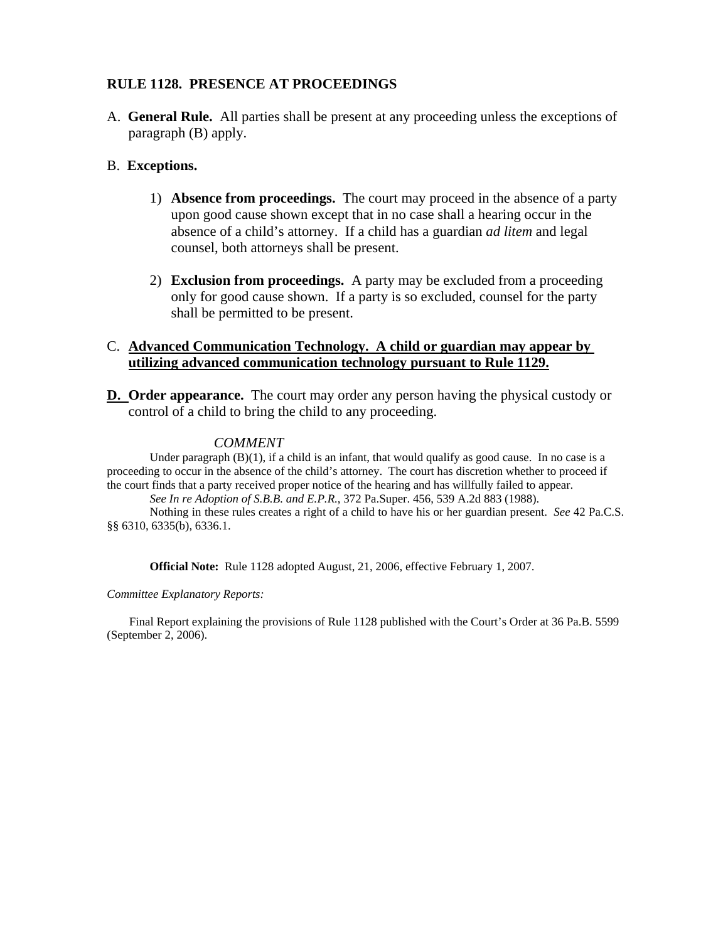#### **RULE 1128. PRESENCE AT PROCEEDINGS**

A. **General Rule.** All parties shall be present at any proceeding unless the exceptions of paragraph (B) apply.

#### B. **Exceptions.**

- 1) **Absence from proceedings.** The court may proceed in the absence of a party upon good cause shown except that in no case shall a hearing occur in the absence of a child's attorney. If a child has a guardian *ad litem* and legal counsel, both attorneys shall be present.
- 2) **Exclusion from proceedings.** A party may be excluded from a proceeding only for good cause shown. If a party is so excluded, counsel for the party shall be permitted to be present.

#### C. **Advanced Communication Technology. A child or guardian may appear by utilizing advanced communication technology pursuant to Rule 1129.**

**D.** Order appearance. The court may order any person having the physical custody or control of a child to bring the child to any proceeding.

#### *COMMENT*

Under paragraph  $(B)(1)$ , if a child is an infant, that would qualify as good cause. In no case is a proceeding to occur in the absence of the child's attorney. The court has discretion whether to proceed if the court finds that a party received proper notice of the hearing and has willfully failed to appear.

*See In re Adoption of S.B.B. and E.P.R.*, 372 Pa.Super. 456, 539 A.2d 883 (1988).

Nothing in these rules creates a right of a child to have his or her guardian present. *See* 42 Pa.C.S. §§ 6310, 6335(b), 6336.1.

**Official Note:** Rule 1128 adopted August, 21, 2006, effective February 1, 2007.

*Committee Explanatory Reports:* 

Final Report explaining the provisions of Rule 1128 published with the Court's Order at 36 Pa.B. 5599 (September 2, 2006).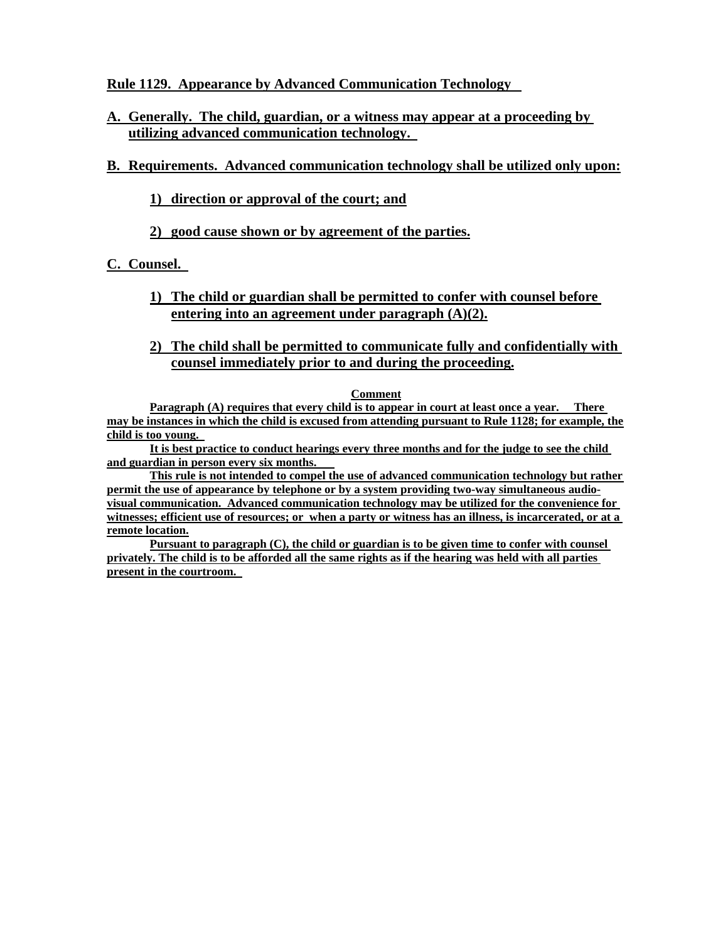**Rule 1129. Appearance by Advanced Communication Technology** 

**A. Generally. The child, guardian, or a witness may appear at a proceeding by utilizing advanced communication technology.** 

# **B. Requirements. Advanced communication technology shall be utilized only upon:**

# **1) direction or approval of the court; and**

**2) good cause shown or by agreement of the parties.**

# **C. Counsel.**

- **1) The child or guardian shall be permitted to confer with counsel before entering into an agreement under paragraph (A)(2).**
- **2) The child shall be permitted to communicate fully and confidentially with counsel immediately prior to and during the proceeding.**

#### **Comment**

**Paragraph (A) requires that every child is to appear in court at least once a year. There may be instances in which the child is excused from attending pursuant to Rule 1128; for example, the child is too young.** 

**It is best practice to conduct hearings every three months and for the judge to see the child and guardian in person every six months.** 

**This rule is not intended to compel the use of advanced communication technology but rather permit the use of appearance by telephone or by a system providing two-way simultaneous audiovisual communication. Advanced communication technology may be utilized for the convenience for witnesses; efficient use of resources; or when a party or witness has an illness, is incarcerated, or at a remote location.**

**Pursuant to paragraph (C), the child or guardian is to be given time to confer with counsel privately. The child is to be afforded all the same rights as if the hearing was held with all parties present in the courtroom.**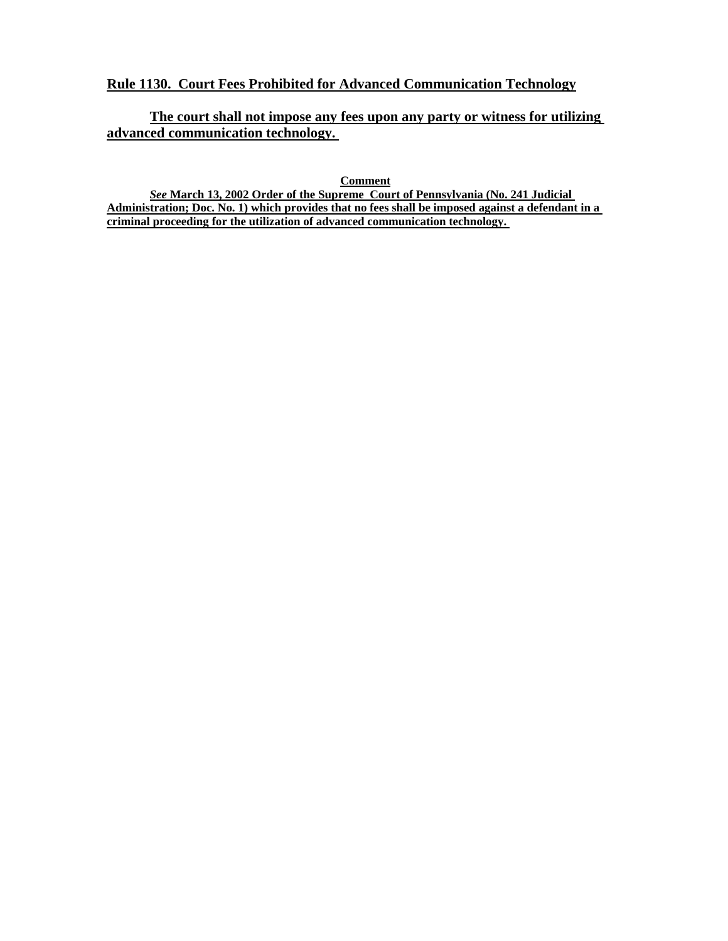### **Rule 1130. Court Fees Prohibited for Advanced Communication Technology**

**The court shall not impose any fees upon any party or witness for utilizing advanced communication technology.** 

**Comment**

*See* **March 13, 2002 Order of the Supreme Court of Pennsylvania (No. 241 Judicial Administration; Doc. No. 1) which provides that no fees shall be imposed against a defendant in a criminal proceeding for the utilization of advanced communication technology.**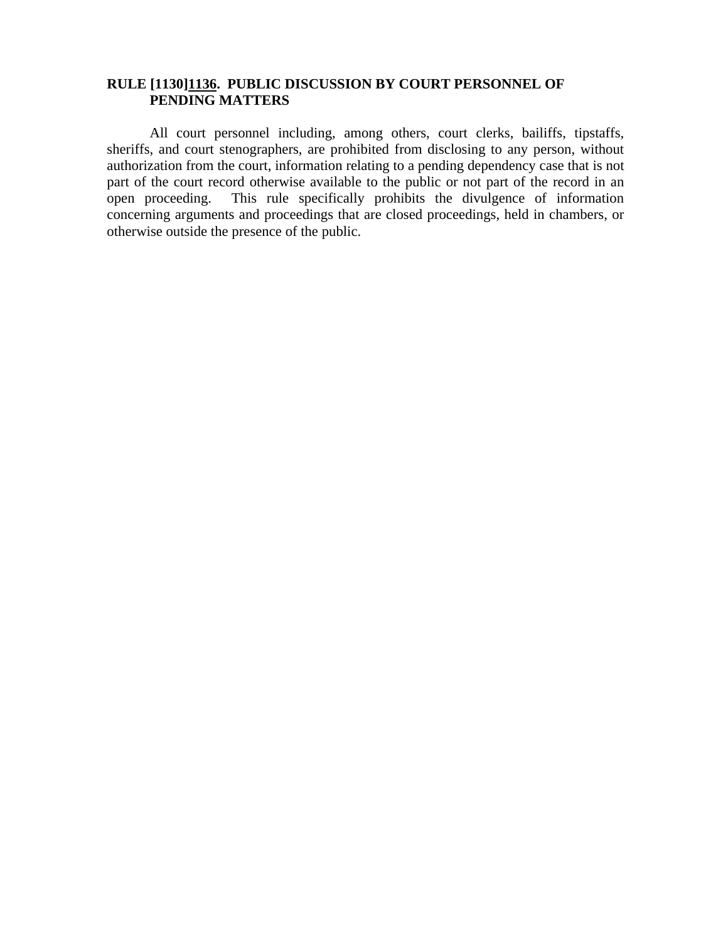# **RULE [1130]1136. PUBLIC DISCUSSION BY COURT PERSONNEL OF PENDING MATTERS**

All court personnel including, among others, court clerks, bailiffs, tipstaffs, sheriffs, and court stenographers, are prohibited from disclosing to any person, without authorization from the court, information relating to a pending dependency case that is not part of the court record otherwise available to the public or not part of the record in an open proceeding. This rule specifically prohibits the divulgence of information concerning arguments and proceedings that are closed proceedings, held in chambers, or otherwise outside the presence of the public.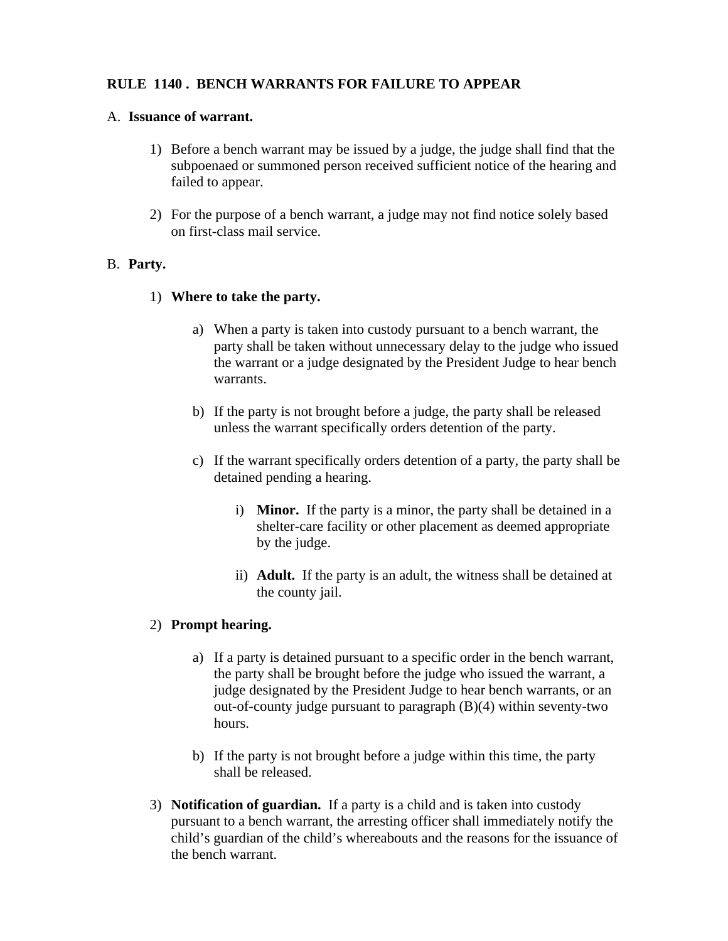# **RULE 1140 . BENCH WARRANTS FOR FAILURE TO APPEAR**

### A. **Issuance of warrant.**

- 1) Before a bench warrant may be issued by a judge, the judge shall find that the subpoenaed or summoned person received sufficient notice of the hearing and failed to appear.
- 2) For the purpose of a bench warrant, a judge may not find notice solely based on first-class mail service.

### B. **Party.**

### 1) **Where to take the party.**

- a) When a party is taken into custody pursuant to a bench warrant, the party shall be taken without unnecessary delay to the judge who issued the warrant or a judge designated by the President Judge to hear bench warrants.
- b) If the party is not brought before a judge, the party shall be released unless the warrant specifically orders detention of the party.
- c) If the warrant specifically orders detention of a party, the party shall be detained pending a hearing.
	- i) **Minor.** If the party is a minor, the party shall be detained in a shelter-care facility or other placement as deemed appropriate by the judge.
	- ii) **Adult.** If the party is an adult, the witness shall be detained at the county jail.

# 2) **Prompt hearing.**

- a) If a party is detained pursuant to a specific order in the bench warrant, the party shall be brought before the judge who issued the warrant, a judge designated by the President Judge to hear bench warrants, or an out-of-county judge pursuant to paragraph (B)(4) within seventy-two hours.
- b) If the party is not brought before a judge within this time, the party shall be released.
- 3) **Notification of guardian.** If a party is a child and is taken into custody pursuant to a bench warrant, the arresting officer shall immediately notify the child's guardian of the child's whereabouts and the reasons for the issuance of the bench warrant.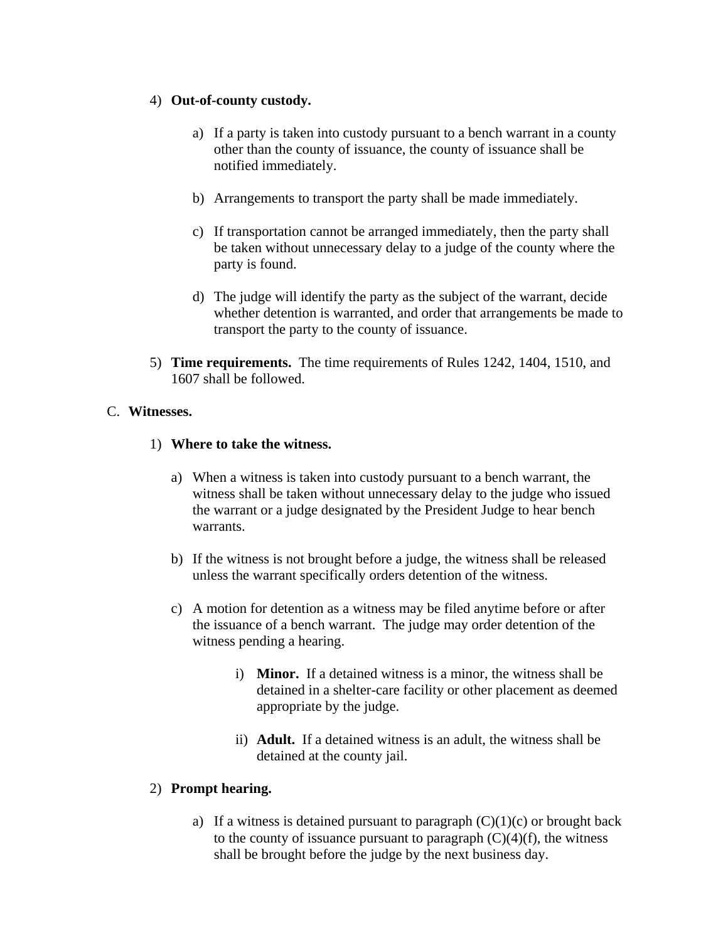#### 4) **Out-of-county custody.**

- a) If a party is taken into custody pursuant to a bench warrant in a county other than the county of issuance, the county of issuance shall be notified immediately.
- b) Arrangements to transport the party shall be made immediately.
- c) If transportation cannot be arranged immediately, then the party shall be taken without unnecessary delay to a judge of the county where the party is found.
- d) The judge will identify the party as the subject of the warrant, decide whether detention is warranted, and order that arrangements be made to transport the party to the county of issuance.
- 5) **Time requirements.** The time requirements of Rules 1242, 1404, 1510, and 1607 shall be followed.

### C. **Witnesses.**

### 1) **Where to take the witness.**

- a) When a witness is taken into custody pursuant to a bench warrant, the witness shall be taken without unnecessary delay to the judge who issued the warrant or a judge designated by the President Judge to hear bench warrants.
- b) If the witness is not brought before a judge, the witness shall be released unless the warrant specifically orders detention of the witness.
- c) A motion for detention as a witness may be filed anytime before or after the issuance of a bench warrant. The judge may order detention of the witness pending a hearing.
	- i) **Minor.** If a detained witness is a minor, the witness shall be detained in a shelter-care facility or other placement as deemed appropriate by the judge.
	- ii) **Adult.** If a detained witness is an adult, the witness shall be detained at the county jail.

#### 2) **Prompt hearing.**

a) If a witness is detained pursuant to paragraph  $(C)(1)(c)$  or brought back to the county of issuance pursuant to paragraph  $(C)(4)(f)$ , the witness shall be brought before the judge by the next business day.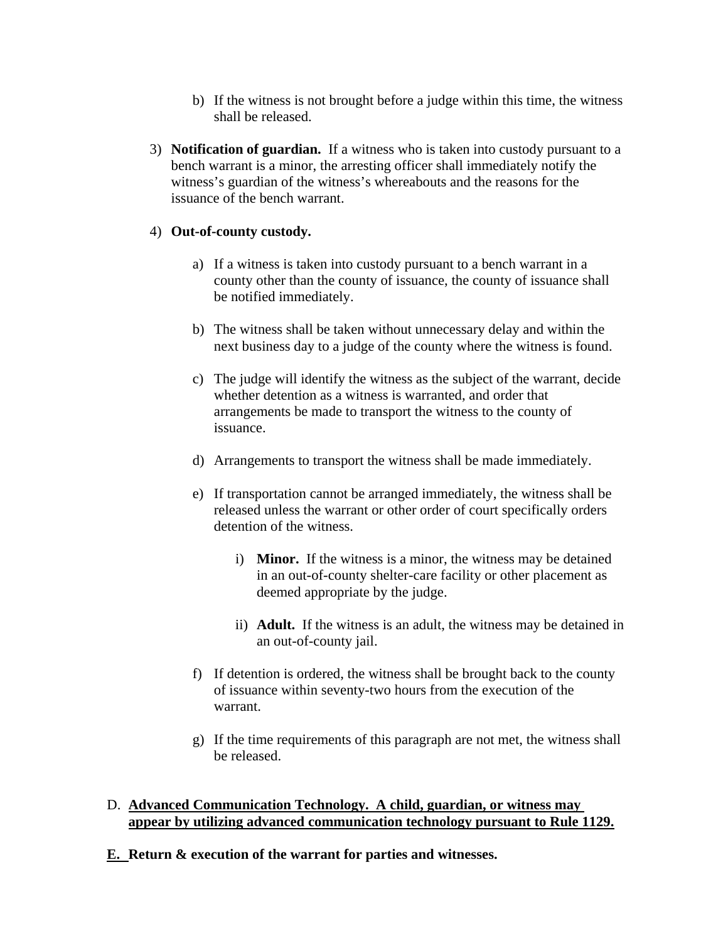- b) If the witness is not brought before a judge within this time, the witness shall be released.
- 3) **Notification of guardian.** If a witness who is taken into custody pursuant to a bench warrant is a minor, the arresting officer shall immediately notify the witness's guardian of the witness's whereabouts and the reasons for the issuance of the bench warrant.

#### 4) **Out-of-county custody.**

- a) If a witness is taken into custody pursuant to a bench warrant in a county other than the county of issuance, the county of issuance shall be notified immediately.
- b) The witness shall be taken without unnecessary delay and within the next business day to a judge of the county where the witness is found.
- c) The judge will identify the witness as the subject of the warrant, decide whether detention as a witness is warranted, and order that arrangements be made to transport the witness to the county of issuance.
- d) Arrangements to transport the witness shall be made immediately.
- e) If transportation cannot be arranged immediately, the witness shall be released unless the warrant or other order of court specifically orders detention of the witness.
	- i) **Minor.** If the witness is a minor, the witness may be detained in an out-of-county shelter-care facility or other placement as deemed appropriate by the judge.
	- ii) **Adult.** If the witness is an adult, the witness may be detained in an out-of-county jail.
- f) If detention is ordered, the witness shall be brought back to the county of issuance within seventy-two hours from the execution of the warrant.
- g) If the time requirements of this paragraph are not met, the witness shall be released.

#### D. **Advanced Communication Technology. A child, guardian, or witness may appear by utilizing advanced communication technology pursuant to Rule 1129.**

**E. Return & execution of the warrant for parties and witnesses.**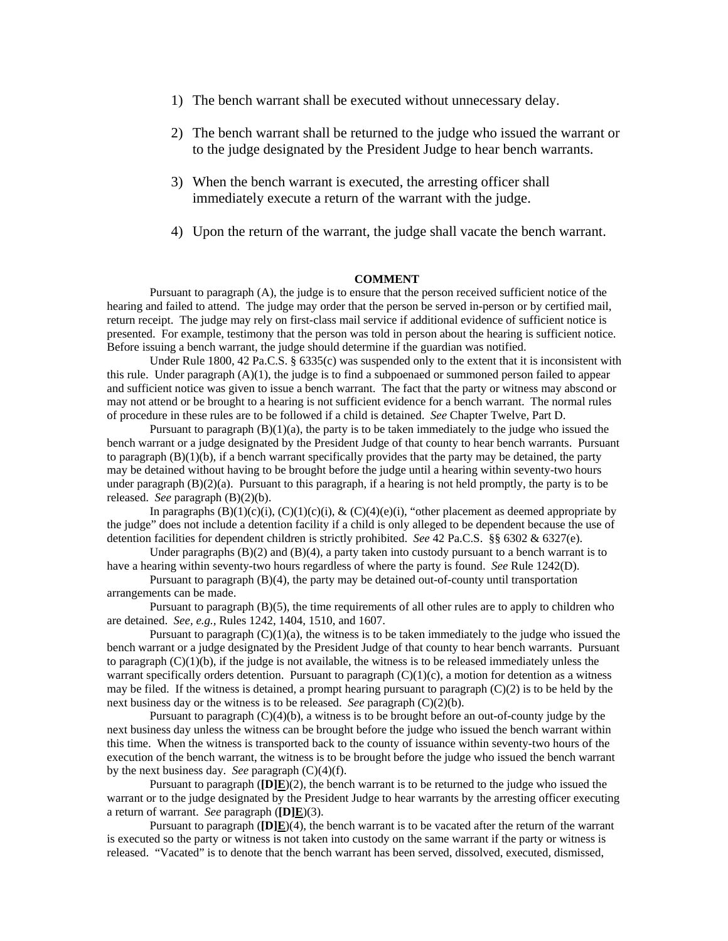- 1) The bench warrant shall be executed without unnecessary delay.
- 2) The bench warrant shall be returned to the judge who issued the warrant or to the judge designated by the President Judge to hear bench warrants.
- 3) When the bench warrant is executed, the arresting officer shall immediately execute a return of the warrant with the judge.
- 4) Upon the return of the warrant, the judge shall vacate the bench warrant.

#### **COMMENT**

Pursuant to paragraph (A), the judge is to ensure that the person received sufficient notice of the hearing and failed to attend. The judge may order that the person be served in-person or by certified mail, return receipt. The judge may rely on first-class mail service if additional evidence of sufficient notice is presented. For example, testimony that the person was told in person about the hearing is sufficient notice. Before issuing a bench warrant, the judge should determine if the guardian was notified.

Under Rule 1800, 42 Pa.C.S. § 6335(c) was suspended only to the extent that it is inconsistent with this rule. Under paragraph  $(A)(1)$ , the judge is to find a subpoenaed or summoned person failed to appear and sufficient notice was given to issue a bench warrant. The fact that the party or witness may abscond or may not attend or be brought to a hearing is not sufficient evidence for a bench warrant. The normal rules of procedure in these rules are to be followed if a child is detained. *See* Chapter Twelve, Part D.

Pursuant to paragraph  $(B)(1)(a)$ , the party is to be taken immediately to the judge who issued the bench warrant or a judge designated by the President Judge of that county to hear bench warrants. Pursuant to paragraph  $(B)(1)(b)$ , if a bench warrant specifically provides that the party may be detained, the party may be detained without having to be brought before the judge until a hearing within seventy-two hours under paragraph  $(B)(2)(a)$ . Pursuant to this paragraph, if a hearing is not held promptly, the party is to be released. *See* paragraph (B)(2)(b).

In paragraphs  $(B)(1)(c)(i)$ ,  $(C)(1)(c)(i)$ ,  $\& (C)(4)(e)(i)$ , "other placement as deemed appropriate by the judge" does not include a detention facility if a child is only alleged to be dependent because the use of detention facilities for dependent children is strictly prohibited. *See* 42 Pa.C.S. §§ 6302 & 6327(e).

Under paragraphs  $(B)(2)$  and  $(B)(4)$ , a party taken into custody pursuant to a bench warrant is to have a hearing within seventy-two hours regardless of where the party is found. *See* Rule 1242(D).

Pursuant to paragraph (B)(4), the party may be detained out-of-county until transportation arrangements can be made.

Pursuant to paragraph (B)(5), the time requirements of all other rules are to apply to children who are detained. *See, e.g.,* Rules 1242, 1404, 1510, and 1607.

Pursuant to paragraph  $(C)(1)(a)$ , the witness is to be taken immediately to the judge who issued the bench warrant or a judge designated by the President Judge of that county to hear bench warrants. Pursuant to paragraph  $(C)(1)(b)$ , if the judge is not available, the witness is to be released immediately unless the warrant specifically orders detention. Pursuant to paragraph  $(C)(1)(c)$ , a motion for detention as a witness may be filed. If the witness is detained, a prompt hearing pursuant to paragraph  $(C)(2)$  is to be held by the next business day or the witness is to be released. *See* paragraph (C)(2)(b).

Pursuant to paragraph (C)(4)(b), a witness is to be brought before an out-of-county judge by the next business day unless the witness can be brought before the judge who issued the bench warrant within this time. When the witness is transported back to the county of issuance within seventy-two hours of the execution of the bench warrant, the witness is to be brought before the judge who issued the bench warrant by the next business day. *See* paragraph (C)(4)(f).

Pursuant to paragraph (**[D]E**)(2), the bench warrant is to be returned to the judge who issued the warrant or to the judge designated by the President Judge to hear warrants by the arresting officer executing a return of warrant. *See* paragraph (**[D]E**)(3).

Pursuant to paragraph (**[D]E**)(4), the bench warrant is to be vacated after the return of the warrant is executed so the party or witness is not taken into custody on the same warrant if the party or witness is released. "Vacated" is to denote that the bench warrant has been served, dissolved, executed, dismissed,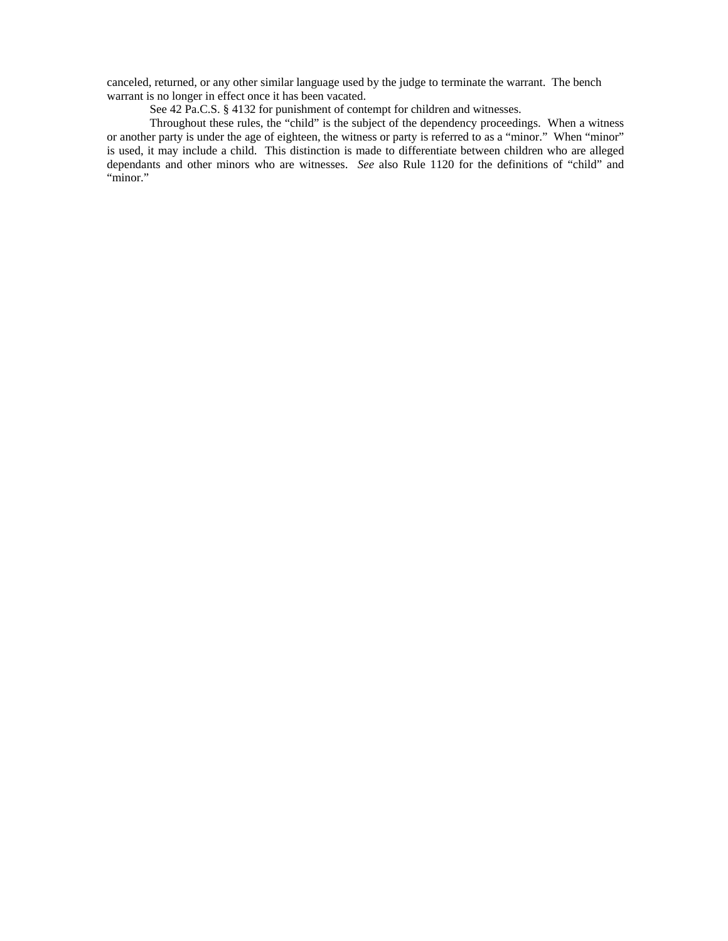canceled, returned, or any other similar language used by the judge to terminate the warrant. The bench warrant is no longer in effect once it has been vacated.

See 42 Pa.C.S. § 4132 for punishment of contempt for children and witnesses.

Throughout these rules, the "child" is the subject of the dependency proceedings. When a witness or another party is under the age of eighteen, the witness or party is referred to as a "minor." When "minor" is used, it may include a child. This distinction is made to differentiate between children who are alleged dependants and other minors who are witnesses. *See* also Rule 1120 for the definitions of "child" and "minor."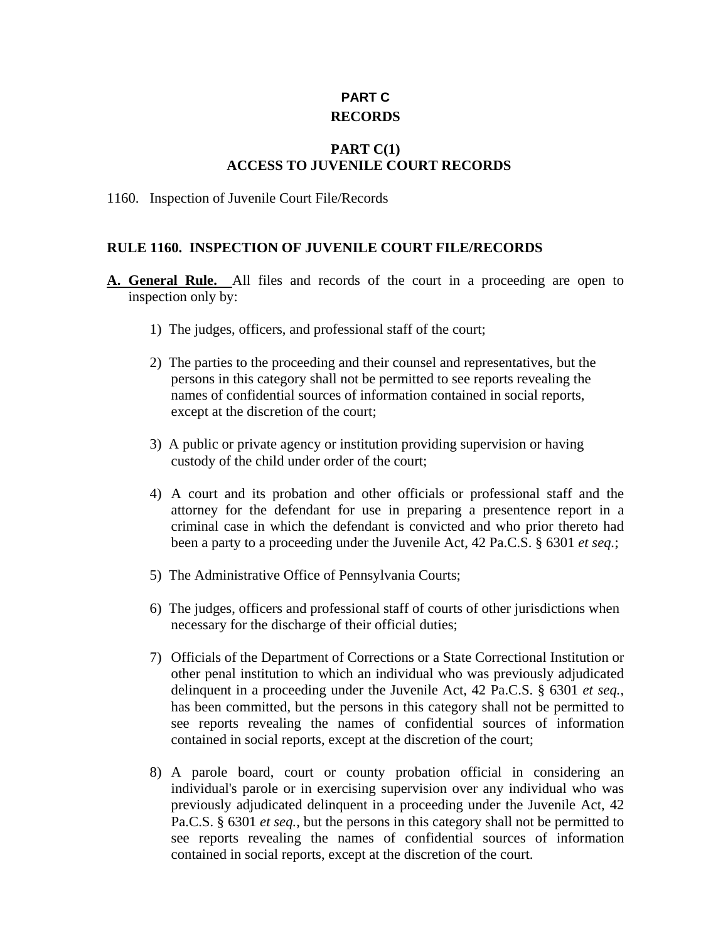# **PART C RECORDS**

### **PART C(1) ACCESS TO JUVENILE COURT RECORDS**

1160. Inspection of Juvenile Court File/Records

### **RULE 1160. INSPECTION OF JUVENILE COURT FILE/RECORDS**

- **A. General Rule.** All files and records of the court in a proceeding are open to inspection only by:
	- 1) The judges, officers, and professional staff of the court;
	- 2) The parties to the proceeding and their counsel and representatives, but the persons in this category shall not be permitted to see reports revealing the names of confidential sources of information contained in social reports, except at the discretion of the court;
	- 3) A public or private agency or institution providing supervision or having custody of the child under order of the court;
	- 4) A court and its probation and other officials or professional staff and the attorney for the defendant for use in preparing a presentence report in a criminal case in which the defendant is convicted and who prior thereto had been a party to a proceeding under the Juvenile Act, 42 Pa.C.S. § 6301 *et seq.*;
	- 5) The Administrative Office of Pennsylvania Courts;
	- 6) The judges, officers and professional staff of courts of other jurisdictions when necessary for the discharge of their official duties;
	- 7) Officials of the Department of Corrections or a State Correctional Institution or other penal institution to which an individual who was previously adjudicated delinquent in a proceeding under the Juvenile Act, 42 Pa.C.S. § 6301 *et seq.*, has been committed, but the persons in this category shall not be permitted to see reports revealing the names of confidential sources of information contained in social reports, except at the discretion of the court;
	- 8) A parole board, court or county probation official in considering an individual's parole or in exercising supervision over any individual who was previously adjudicated delinquent in a proceeding under the Juvenile Act, 42 Pa.C.S. § 6301 *et seq.*, but the persons in this category shall not be permitted to see reports revealing the names of confidential sources of information contained in social reports, except at the discretion of the court.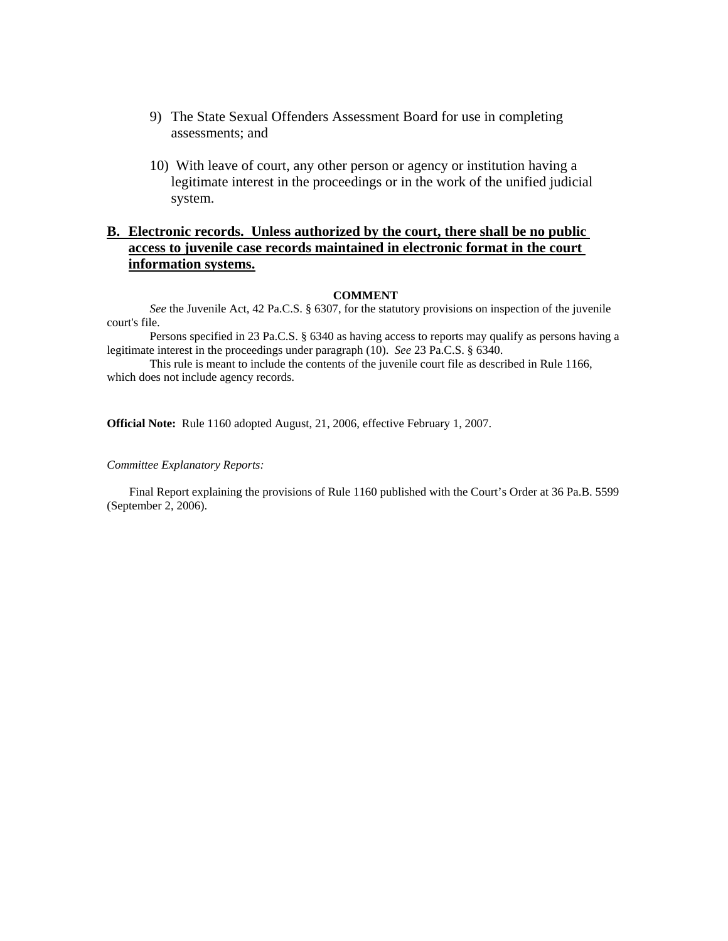- 9) The State Sexual Offenders Assessment Board for use in completing assessments; and
- 10) With leave of court, any other person or agency or institution having a legitimate interest in the proceedings or in the work of the unified judicial system.

#### **B. Electronic records. Unless authorized by the court, there shall be no public access to juvenile case records maintained in electronic format in the court information systems.**

#### **COMMENT**

*See* the Juvenile Act, 42 Pa.C.S. § 6307, for the statutory provisions on inspection of the juvenile court's file.

Persons specified in 23 Pa.C.S. § 6340 as having access to reports may qualify as persons having a legitimate interest in the proceedings under paragraph (10). *See* 23 Pa.C.S. § 6340.

This rule is meant to include the contents of the juvenile court file as described in Rule 1166, which does not include agency records.

**Official Note:** Rule 1160 adopted August, 21, 2006, effective February 1, 2007.

#### *Committee Explanatory Reports:*

Final Report explaining the provisions of Rule 1160 published with the Court's Order at 36 Pa.B. 5599 (September 2, 2006).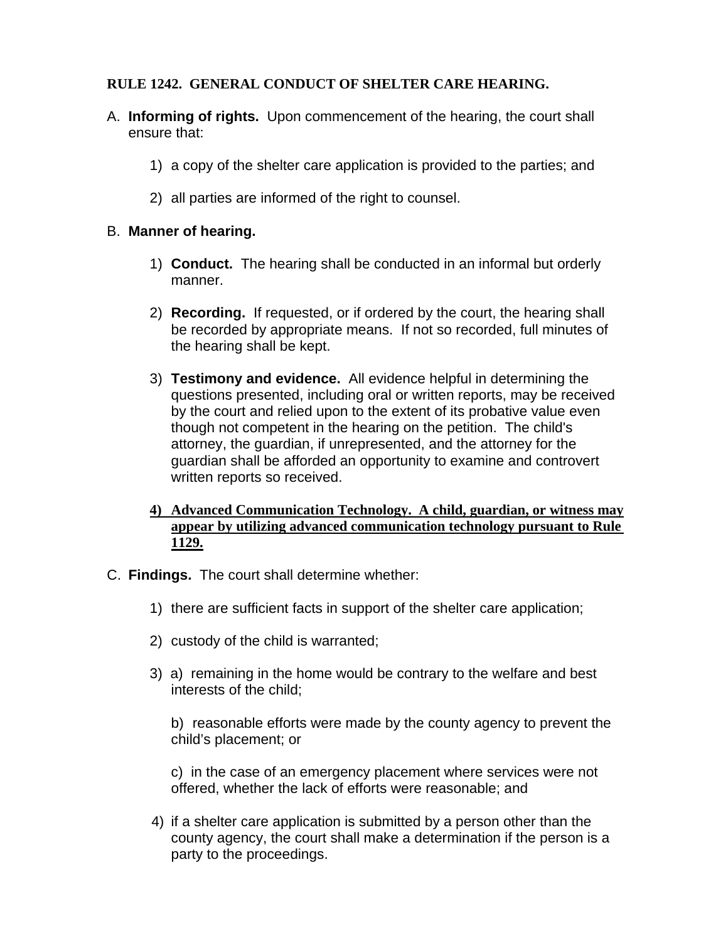# **RULE 1242. GENERAL CONDUCT OF SHELTER CARE HEARING.**

- A. **Informing of rights.** Upon commencement of the hearing, the court shall ensure that:
	- 1) a copy of the shelter care application is provided to the parties; and
	- 2) all parties are informed of the right to counsel.

# B. **Manner of hearing.**

- 1) **Conduct.** The hearing shall be conducted in an informal but orderly manner.
- 2) **Recording.** If requested, or if ordered by the court, the hearing shall be recorded by appropriate means. If not so recorded, full minutes of the hearing shall be kept.
- 3) **Testimony and evidence.** All evidence helpful in determining the questions presented, including oral or written reports, may be received by the court and relied upon to the extent of its probative value even though not competent in the hearing on the petition. The child's attorney, the guardian, if unrepresented, and the attorney for the guardian shall be afforded an opportunity to examine and controvert written reports so received.
- **4) Advanced Communication Technology. A child, guardian, or witness may appear by utilizing advanced communication technology pursuant to Rule 1129.**
- C. **Findings.** The court shall determine whether:
	- 1) there are sufficient facts in support of the shelter care application;
	- 2) custody of the child is warranted;
	- 3) a) remaining in the home would be contrary to the welfare and best interests of the child;

 b) reasonable efforts were made by the county agency to prevent the child's placement; or

c) in the case of an emergency placement where services were not offered, whether the lack of efforts were reasonable; and

4) if a shelter care application is submitted by a person other than the county agency, the court shall make a determination if the person is a party to the proceedings.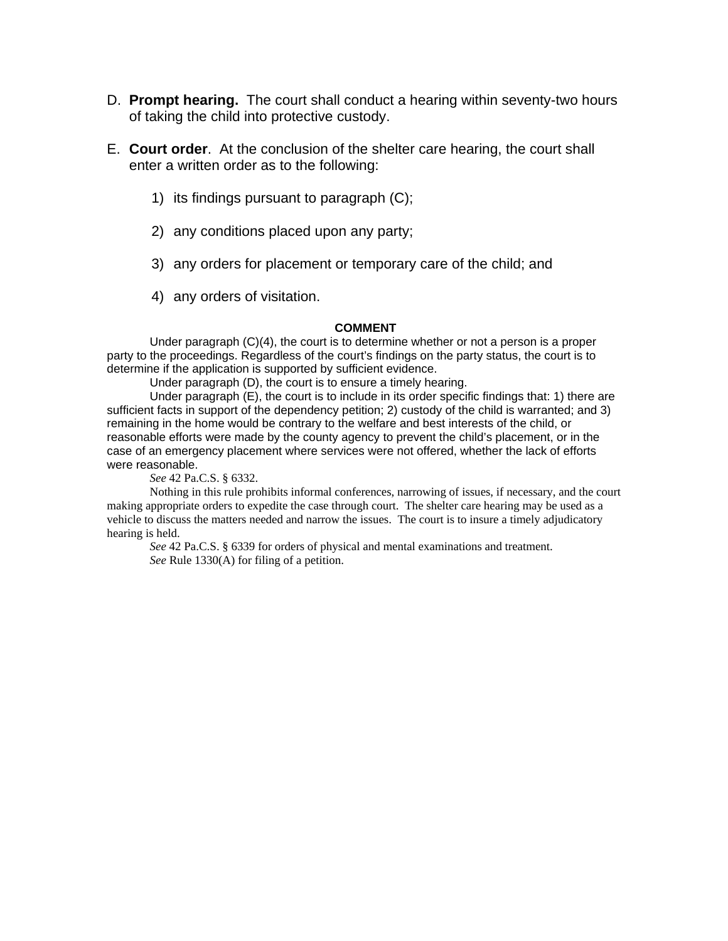- D. **Prompt hearing.** The court shall conduct a hearing within seventy-two hours of taking the child into protective custody.
- E. **Court order**. At the conclusion of the shelter care hearing, the court shall enter a written order as to the following:
	- 1) its findings pursuant to paragraph (C);
	- 2) any conditions placed upon any party;
	- 3) any orders for placement or temporary care of the child; and
	- 4) any orders of visitation.

#### **COMMENT**

Under paragraph (C)(4), the court is to determine whether or not a person is a proper party to the proceedings. Regardless of the court's findings on the party status, the court is to determine if the application is supported by sufficient evidence.

Under paragraph (D), the court is to ensure a timely hearing.

Under paragraph (E), the court is to include in its order specific findings that: 1) there are sufficient facts in support of the dependency petition; 2) custody of the child is warranted; and 3) remaining in the home would be contrary to the welfare and best interests of the child, or reasonable efforts were made by the county agency to prevent the child's placement, or in the case of an emergency placement where services were not offered, whether the lack of efforts were reasonable.

*See* 42 Pa.C.S. § 6332.

 Nothing in this rule prohibits informal conferences, narrowing of issues, if necessary, and the court making appropriate orders to expedite the case through court. The shelter care hearing may be used as a vehicle to discuss the matters needed and narrow the issues. The court is to insure a timely adjudicatory hearing is held.

*See* 42 Pa.C.S. § 6339 for orders of physical and mental examinations and treatment. *See* Rule 1330(A) for filing of a petition.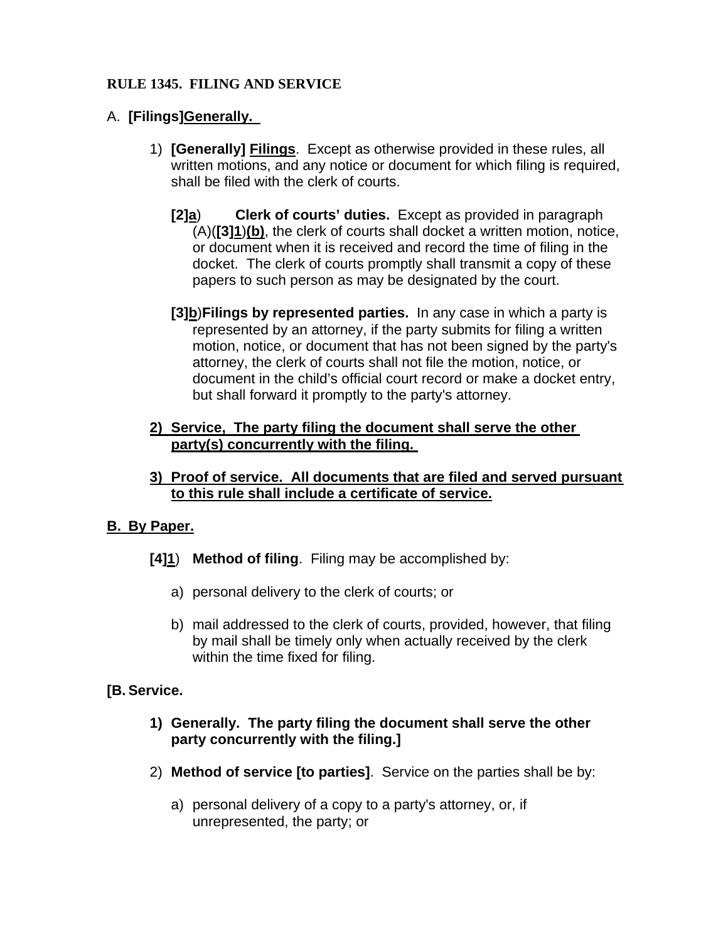# **RULE 1345. FILING AND SERVICE**

# A. **[Filings]Generally.**

- 1) **[Generally] Filings**.Except as otherwise provided in these rules, all written motions, and any notice or document for which filing is required, shall be filed with the clerk of courts.
	- **[2]a**) **Clerk of courts' duties.** Except as provided in paragraph (A)(**[3]1**)**(b)**, the clerk of courts shall docket a written motion, notice, or document when it is received and record the time of filing in the docket. The clerk of courts promptly shall transmit a copy of these papers to such person as may be designated by the court.
	- **[3]b**)**Filings by represented parties.** In any case in which a party is represented by an attorney, if the party submits for filing a written motion, notice, or document that has not been signed by the party's attorney, the clerk of courts shall not file the motion, notice, or document in the child's official court record or make a docket entry, but shall forward it promptly to the party's attorney.

# **2) Service, The party filing the document shall serve the other party(s) concurrently with the filing.**

**3) Proof of service. All documents that are filed and served pursuant to this rule shall include a certificate of service.**

# **B. By Paper.**

- **[4]1**) **Method of filing**. Filing may be accomplished by:
	- a) personal delivery to the clerk of courts; or
	- b) mail addressed to the clerk of courts, provided, however, that filing by mail shall be timely only when actually received by the clerk within the time fixed for filing.

# **[B. Service.**

- **1) Generally. The party filing the document shall serve the other party concurrently with the filing.]**
- 2) **Method of service [to parties]**. Service on the parties shall be by:
	- a) personal delivery of a copy to a party's attorney, or, if unrepresented, the party; or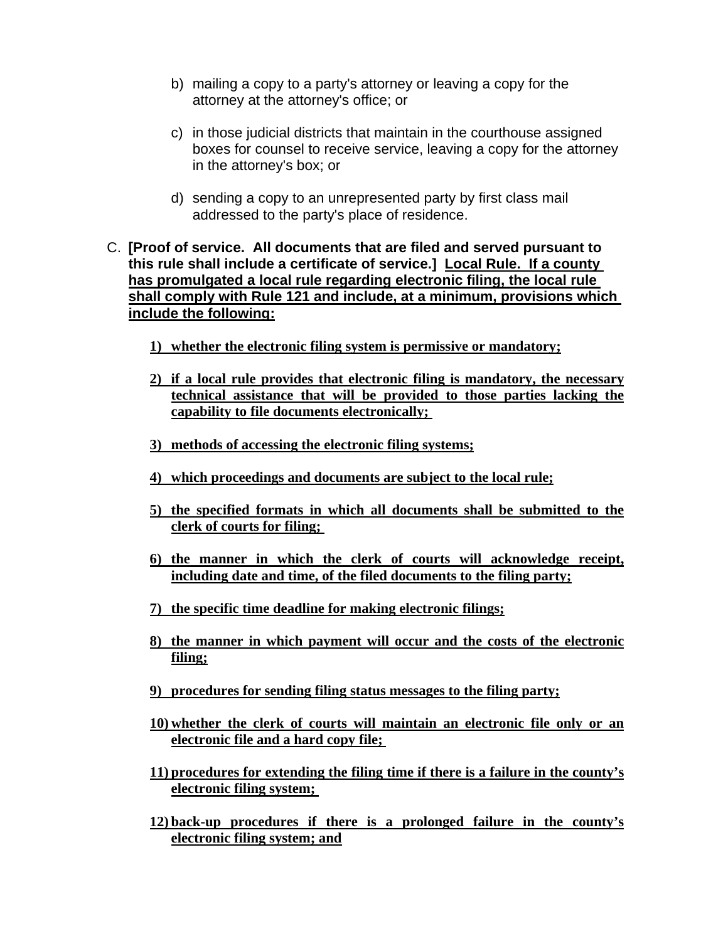- b) mailing a copy to a party's attorney or leaving a copy for the attorney at the attorney's office; or
- c) in those judicial districts that maintain in the courthouse assigned boxes for counsel to receive service, leaving a copy for the attorney in the attorney's box; or
- d) sending a copy to an unrepresented party by first class mail addressed to the party's place of residence.
- C. **[Proof of service. All documents that are filed and served pursuant to this rule shall include a certificate of service.] Local Rule. If a county has promulgated a local rule regarding electronic filing, the local rule shall comply with Rule 121 and include, at a minimum, provisions which include the following:**
	- **1) whether the electronic filing system is permissive or mandatory;**
	- **2) if a local rule provides that electronic filing is mandatory, the necessary technical assistance that will be provided to those parties lacking the capability to file documents electronically;**
	- **3) methods of accessing the electronic filing systems;**
	- **4) which proceedings and documents are subject to the local rule;**
	- **5) the specified formats in which all documents shall be submitted to the clerk of courts for filing;**
	- **6) the manner in which the clerk of courts will acknowledge receipt, including date and time, of the filed documents to the filing party;**
	- **7) the specific time deadline for making electronic filings;**
	- **8) the manner in which payment will occur and the costs of the electronic filing;**
	- **9) procedures for sending filing status messages to the filing party;**
	- **10) whether the clerk of courts will maintain an electronic file only or an electronic file and a hard copy file;**
	- **11) procedures for extending the filing time if there is a failure in the county's electronic filing system;**
	- **12) back-up procedures if there is a prolonged failure in the county's electronic filing system; and**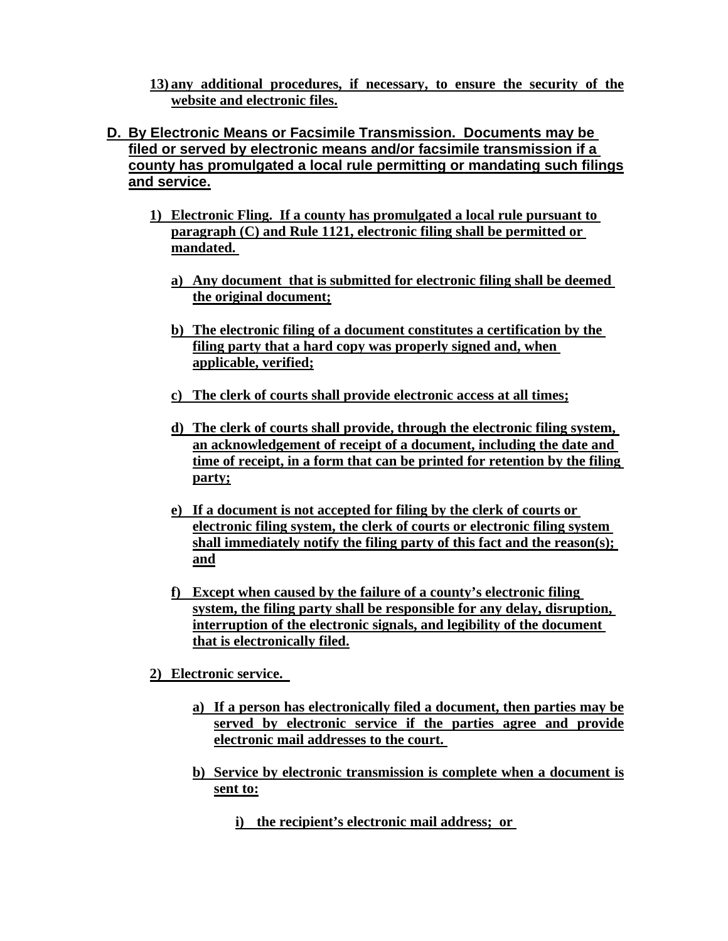**13) any additional procedures, if necessary, to ensure the security of the website and electronic files.**

# **D. By Electronic Means or Facsimile Transmission. Documents may be filed or served by electronic means and/or facsimile transmission if a county has promulgated a local rule permitting or mandating such filings and service.**

- **1) Electronic Fling. If a county has promulgated a local rule pursuant to paragraph (C) and Rule 1121, electronic filing shall be permitted or mandated.** 
	- **a) Any document that is submitted for electronic filing shall be deemed the original document;**
	- **b) The electronic filing of a document constitutes a certification by the filing party that a hard copy was properly signed and, when applicable, verified;**
	- **c) The clerk of courts shall provide electronic access at all times;**
	- **d) The clerk of courts shall provide, through the electronic filing system, an acknowledgement of receipt of a document, including the date and time of receipt, in a form that can be printed for retention by the filing party;**
	- **e) If a document is not accepted for filing by the clerk of courts or electronic filing system, the clerk of courts or electronic filing system shall immediately notify the filing party of this fact and the reason(s); and**
	- **f) Except when caused by the failure of a county's electronic filing system, the filing party shall be responsible for any delay, disruption, interruption of the electronic signals, and legibility of the document that is electronically filed.**
- **2) Electronic service.** 
	- **a) If a person has electronically filed a document, then parties may be served by electronic service if the parties agree and provide electronic mail addresses to the court.**
	- **b) Service by electronic transmission is complete when a document is sent to:**
		- **i) the recipient's electronic mail address; or**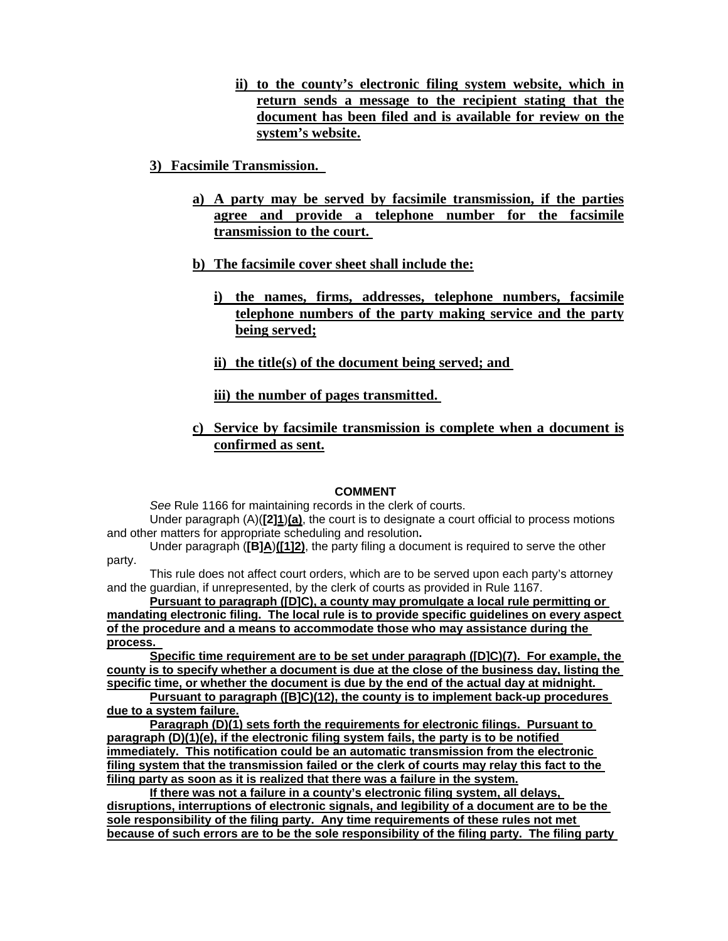- **ii) to the county's electronic filing system website, which in return sends a message to the recipient stating that the document has been filed and is available for review on the system's website.**
- **3) Facsimile Transmission.** 
	- **a) A party may be served by facsimile transmission, if the parties agree and provide a telephone number for the facsimile transmission to the court.**
	- **b) The facsimile cover sheet shall include the:**
		- **i) the names, firms, addresses, telephone numbers, facsimile telephone numbers of the party making service and the party being served;**
		- **ii) the title(s) of the document being served; and**

**iii) the number of pages transmitted.** 

**c) Service by facsimile transmission is complete when a document is confirmed as sent.**

#### **COMMENT**

*See* Rule 1166 for maintaining records in the clerk of courts.

Under paragraph (A)(**[2]1**)**(a)**, the court is to designate a court official to process motions and other matters for appropriate scheduling and resolution**.** 

Under paragraph (**[B]A**)**([1]2)**, the party filing a document is required to serve the other party.

This rule does not affect court orders, which are to be served upon each party's attorney and the guardian, if unrepresented, by the clerk of courts as provided in Rule 1167.

**Pursuant to paragraph ([D]C), a county may promulgate a local rule permitting or mandating electronic filing. The local rule is to provide specific guidelines on every aspect of the procedure and a means to accommodate those who may assistance during the process.** 

**Specific time requirement are to be set under paragraph ([D]C)(7). For example, the county is to specify whether a document is due at the close of the business day, listing the specific time, or whether the document is due by the end of the actual day at midnight.** 

**Pursuant to paragraph ([B]C)(12), the county is to implement back-up procedures due to a system failure.**

**Paragraph (D)(1) sets forth the requirements for electronic filings. Pursuant to paragraph (D)(1)(e), if the electronic filing system fails, the party is to be notified immediately. This notification could be an automatic transmission from the electronic filing system that the transmission failed or the clerk of courts may relay this fact to the filing party as soon as it is realized that there was a failure in the system.**

**If there was not a failure in a county's electronic filing system, all delays, disruptions, interruptions of electronic signals, and legibility of a document are to be the sole responsibility of the filing party. Any time requirements of these rules not met because of such errors are to be the sole responsibility of the filing party. The filing party**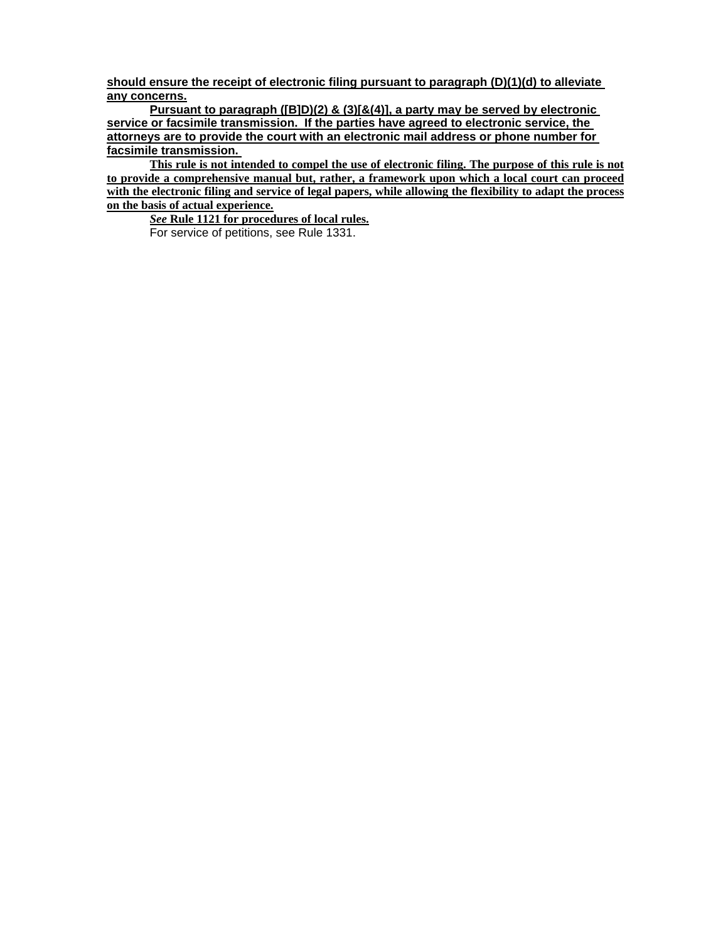**should ensure the receipt of electronic filing pursuant to paragraph (D)(1)(d) to alleviate any concerns.**

**Pursuant to paragraph ([B]D)(2) & (3)[&(4)], a party may be served by electronic service or facsimile transmission. If the parties have agreed to electronic service, the attorneys are to provide the court with an electronic mail address or phone number for facsimile transmission.** 

**This rule is not intended to compel the use of electronic filing. The purpose of this rule is not to provide a comprehensive manual but, rather, a framework upon which a local court can proceed with the electronic filing and service of legal papers, while allowing the flexibility to adapt the process on the basis of actual experience.**

*See* **Rule 1121 for procedures of local rules.** For service of petitions, see Rule 1331.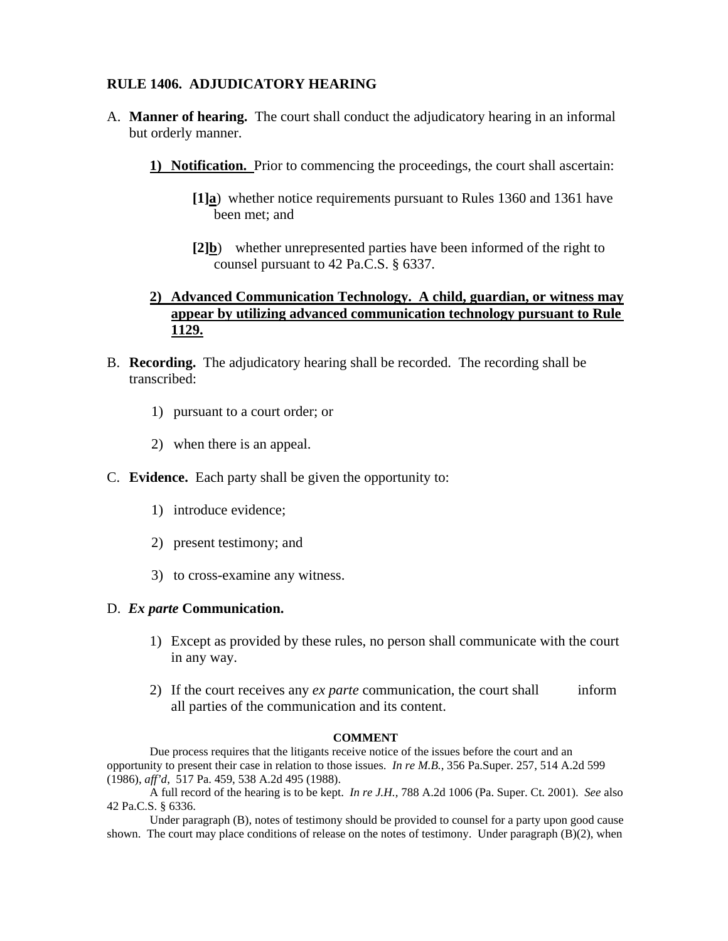#### **RULE 1406. ADJUDICATORY HEARING**

- A. **Manner of hearing.** The court shall conduct the adjudicatory hearing in an informal but orderly manner.
	- **1) Notification.** Prior to commencing the proceedings, the court shall ascertain:
		- **[1]a**) whether notice requirements pursuant to Rules 1360 and 1361 have been met; and
		- **[2]b**) whether unrepresented parties have been informed of the right to counsel pursuant to 42 Pa.C.S. § 6337.

### **2) Advanced Communication Technology. A child, guardian, or witness may appear by utilizing advanced communication technology pursuant to Rule 1129.**

- B. **Recording.** The adjudicatory hearing shall be recorded. The recording shall be transcribed:
	- 1) pursuant to a court order; or
	- 2) when there is an appeal.
- C. **Evidence.** Each party shall be given the opportunity to:
	- 1) introduce evidence;
	- 2) present testimony; and
	- 3) to cross-examine any witness.

#### D. *Ex parte* **Communication.**

- 1) Except as provided by these rules, no person shall communicate with the court in any way.
- 2) If the court receives any *ex parte* communication, the court shall inform all parties of the communication and its content.

#### **COMMENT**

 Due process requires that the litigants receive notice of the issues before the court and an opportunity to present their case in relation to those issues. *In re M.B.*, 356 Pa.Super. 257, 514 A.2d 599 (1986), *aff'd*, 517 Pa. 459, 538 A.2d 495 (1988).

 A full record of the hearing is to be kept. *In re J.H.,* 788 A.2d 1006 (Pa. Super. Ct. 2001). *See* also 42 Pa.C.S. § 6336.

 Under paragraph (B), notes of testimony should be provided to counsel for a party upon good cause shown. The court may place conditions of release on the notes of testimony. Under paragraph (B)(2), when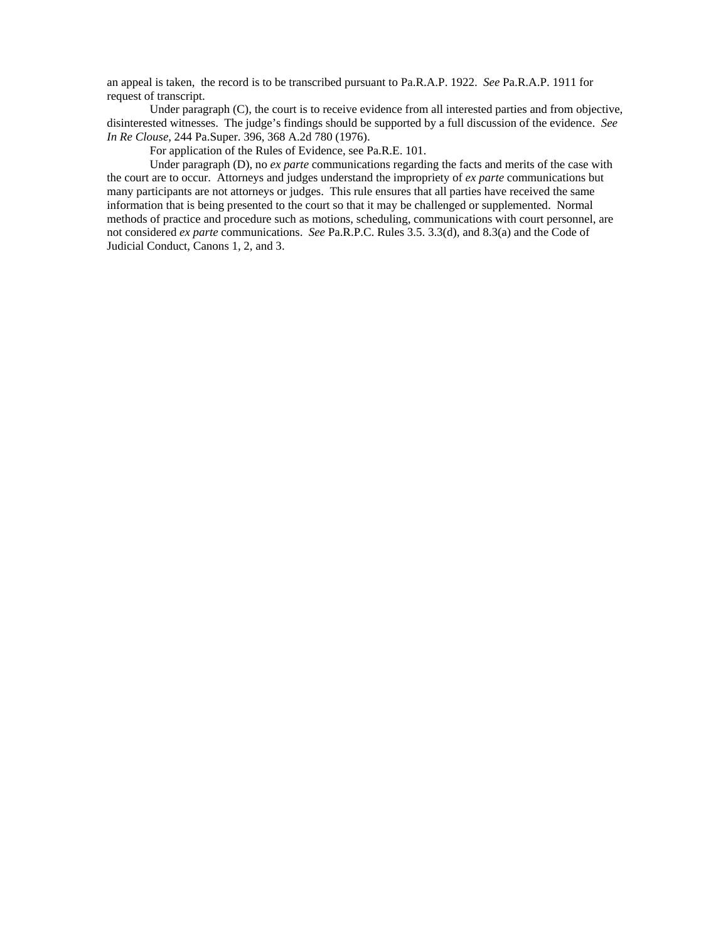an appeal is taken, the record is to be transcribed pursuant to Pa.R.A.P. 1922. *See* Pa.R.A.P. 1911 for request of transcript.

Under paragraph (C), the court is to receive evidence from all interested parties and from objective, disinterested witnesses. The judge's findings should be supported by a full discussion of the evidence. *See In Re Clouse*, 244 Pa.Super. 396, 368 A.2d 780 (1976).

For application of the Rules of Evidence, see Pa.R.E. 101.

Under paragraph (D), no *ex parte* communications regarding the facts and merits of the case with the court are to occur. Attorneys and judges understand the impropriety of *ex parte* communications but many participants are not attorneys or judges. This rule ensures that all parties have received the same information that is being presented to the court so that it may be challenged or supplemented. Normal methods of practice and procedure such as motions, scheduling, communications with court personnel, are not considered *ex parte* communications. *See* Pa.R.P.C. Rules 3.5. 3.3(d), and 8.3(a) and the Code of Judicial Conduct, Canons 1, 2, and 3.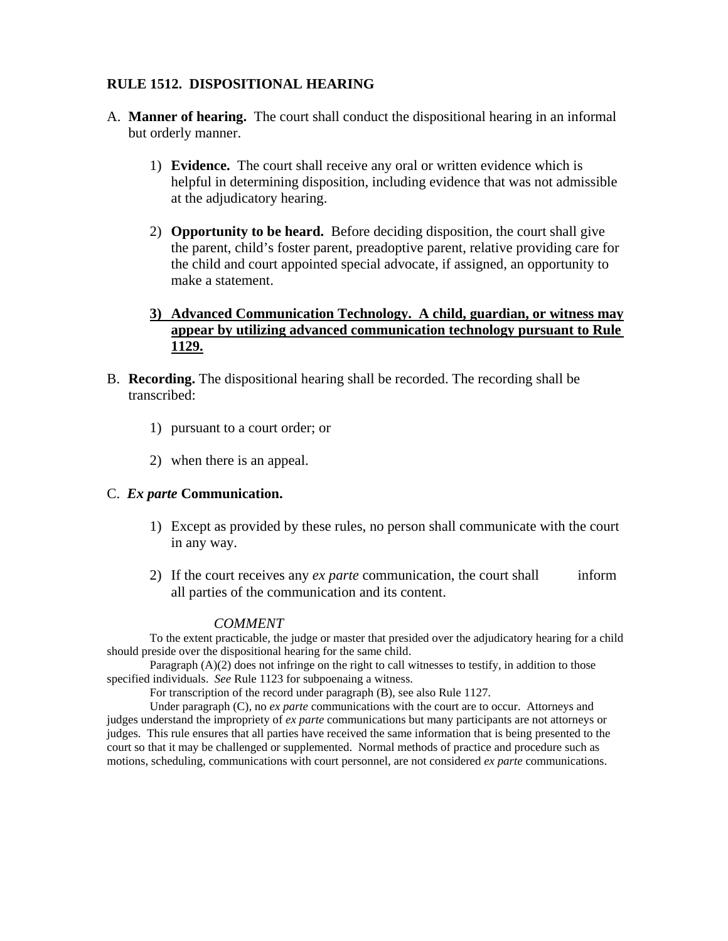### **RULE 1512. DISPOSITIONAL HEARING**

- A. **Manner of hearing.** The court shall conduct the dispositional hearing in an informal but orderly manner.
	- 1) **Evidence.** The court shall receive any oral or written evidence which is helpful in determining disposition, including evidence that was not admissible at the adjudicatory hearing.
	- 2) **Opportunity to be heard.** Before deciding disposition, the court shall give the parent, child's foster parent, preadoptive parent, relative providing care for the child and court appointed special advocate, if assigned, an opportunity to make a statement.

# **3) Advanced Communication Technology. A child, guardian, or witness may appear by utilizing advanced communication technology pursuant to Rule 1129.**

- B. **Recording.** The dispositional hearing shall be recorded. The recording shall be transcribed:
	- 1) pursuant to a court order; or
	- 2) when there is an appeal.

#### C. *Ex parte* **Communication.**

- 1) Except as provided by these rules, no person shall communicate with the court in any way.
- 2) If the court receives any *ex parte* communication, the court shall inform all parties of the communication and its content.

#### *COMMENT*

To the extent practicable, the judge or master that presided over the adjudicatory hearing for a child should preside over the dispositional hearing for the same child.

Paragraph (A)(2) does not infringe on the right to call witnesses to testify, in addition to those specified individuals. *See* Rule 1123 for subpoenaing a witness.

For transcription of the record under paragraph (B), see also Rule 1127.

Under paragraph (C), no *ex parte* communications with the court are to occur. Attorneys and judges understand the impropriety of *ex parte* communications but many participants are not attorneys or judges. This rule ensures that all parties have received the same information that is being presented to the court so that it may be challenged or supplemented. Normal methods of practice and procedure such as motions, scheduling, communications with court personnel, are not considered *ex parte* communications.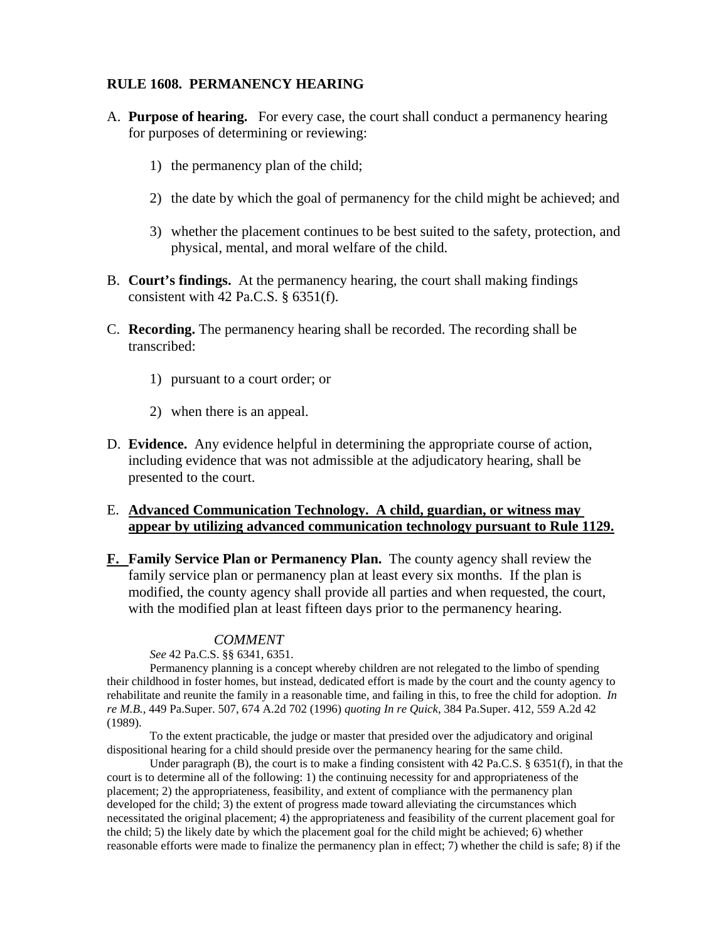#### **RULE 1608. PERMANENCY HEARING**

- A. **Purpose of hearing.** For every case, the court shall conduct a permanency hearing for purposes of determining or reviewing:
	- 1) the permanency plan of the child;
	- 2) the date by which the goal of permanency for the child might be achieved; and
	- 3) whether the placement continues to be best suited to the safety, protection, and physical, mental, and moral welfare of the child.
- B. **Court's findings.** At the permanency hearing, the court shall making findings consistent with 42 Pa.C.S. § 6351(f).
- C. **Recording.** The permanency hearing shall be recorded. The recording shall be transcribed:
	- 1) pursuant to a court order; or
	- 2) when there is an appeal.
- D. **Evidence.** Any evidence helpful in determining the appropriate course of action, including evidence that was not admissible at the adjudicatory hearing, shall be presented to the court.

#### E. **Advanced Communication Technology. A child, guardian, or witness may appear by utilizing advanced communication technology pursuant to Rule 1129.**

**F. Family Service Plan or Permanency Plan.** The county agency shall review the family service plan or permanency plan at least every six months. If the plan is modified, the county agency shall provide all parties and when requested, the court, with the modified plan at least fifteen days prior to the permanency hearing.

#### *COMMENT*

*See* 42 Pa.C.S. §§ 6341, 6351.

 Permanency planning is a concept whereby children are not relegated to the limbo of spending their childhood in foster homes, but instead, dedicated effort is made by the court and the county agency to rehabilitate and reunite the family in a reasonable time, and failing in this, to free the child for adoption. *In re M.B.*, 449 Pa.Super. 507, 674 A.2d 702 (1996) *quoting In re Quick*, 384 Pa.Super. 412, 559 A.2d 42 (1989).

To the extent practicable, the judge or master that presided over the adjudicatory and original dispositional hearing for a child should preside over the permanency hearing for the same child.

Under paragraph (B), the court is to make a finding consistent with 42 Pa.C.S.  $\S$  6351(f), in that the court is to determine all of the following: 1) the continuing necessity for and appropriateness of the placement; 2) the appropriateness, feasibility, and extent of compliance with the permanency plan developed for the child; 3) the extent of progress made toward alleviating the circumstances which necessitated the original placement; 4) the appropriateness and feasibility of the current placement goal for the child; 5) the likely date by which the placement goal for the child might be achieved; 6) whether reasonable efforts were made to finalize the permanency plan in effect; 7) whether the child is safe; 8) if the